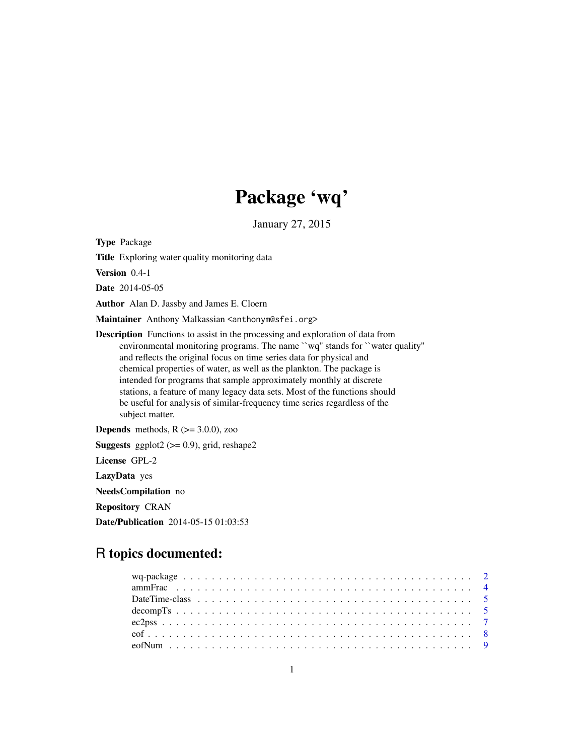# Package 'wq'

January 27, 2015

<span id="page-0-0"></span>Type Package

Title Exploring water quality monitoring data

Version 0.4-1

Date 2014-05-05

Author Alan D. Jassby and James E. Cloern

Maintainer Anthony Malkassian <anthonym@sfei.org>

Description Functions to assist in the processing and exploration of data from environmental monitoring programs. The name ``wq'' stands for ``water quality'' and reflects the original focus on time series data for physical and chemical properties of water, as well as the plankton. The package is intended for programs that sample approximately monthly at discrete stations, a feature of many legacy data sets. Most of the functions should be useful for analysis of similar-frequency time series regardless of the subject matter.

**Depends** methods,  $R$  ( $>=$  3.0.0), zoo

**Suggests** ggplot2 ( $>= 0.9$ ), grid, reshape2

License GPL-2

LazyData yes

NeedsCompilation no

Repository CRAN

Date/Publication 2014-05-15 01:03:53

# R topics documented: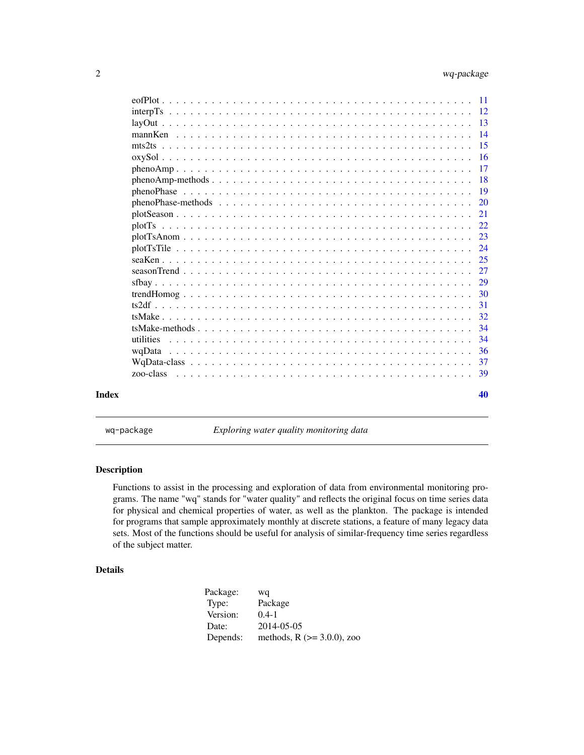<span id="page-1-0"></span>

| Index |              | 40            |
|-------|--------------|---------------|
|       | zoo-class    |               |
|       |              |               |
|       |              | 36            |
|       |              | 34            |
|       |              | 34            |
|       |              | 32            |
|       |              | 31            |
|       |              | -30           |
|       |              |               |
|       |              | 27            |
|       |              | 25            |
|       |              | 24            |
|       | $plotTsAnom$ | 23            |
|       |              |               |
|       |              | 21            |
|       |              | <sup>20</sup> |
|       |              |               |
|       |              |               |
|       | $phenoAmp$   | -17           |
|       |              |               |
|       |              |               |
|       |              |               |
|       |              |               |
|       |              |               |
|       |              |               |

wq-package *Exploring water quality monitoring data*

# Description

Functions to assist in the processing and exploration of data from environmental monitoring programs. The name "wq" stands for "water quality" and reflects the original focus on time series data for physical and chemical properties of water, as well as the plankton. The package is intended for programs that sample approximately monthly at discrete stations, a feature of many legacy data sets. Most of the functions should be useful for analysis of similar-frequency time series regardless of the subject matter.

# Details

| Package: | wq                                |
|----------|-----------------------------------|
| Type:    | Package                           |
| Version: | $0.4 - 1$                         |
| Date:    | 2014-05-05                        |
| Depends: | methods, $R$ ( $> = 3.0.0$ ), zoo |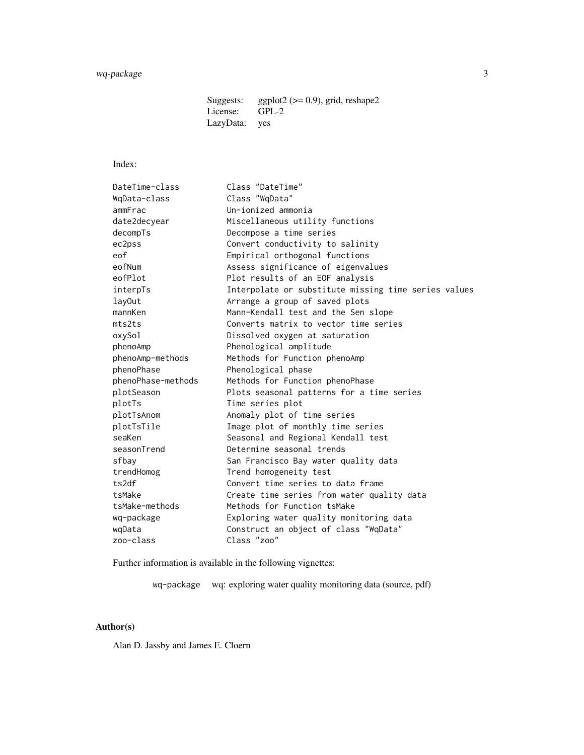Suggests: ggplot2 ( $> = 0.9$ ), grid, reshape2<br>License: GPL-2 License: LazyData: yes

# Index:

| DateTime-class     | Class "DateTime"                                     |
|--------------------|------------------------------------------------------|
| WqData-class       | Class "WqData"                                       |
| ammFrac            | Un-ionized ammonia                                   |
| date2decyear       | Miscellaneous utility functions                      |
| decompTs           | Decompose a time series                              |
| ec2pss             | Convert conductivity to salinity                     |
| eof                | Empirical orthogonal functions                       |
| eofNum             | Assess significance of eigenvalues                   |
| eofPlot            | Plot results of an EOF analysis                      |
| interpTs           | Interpolate or substitute missing time series values |
| lavOut             | Arrange a group of saved plots                       |
| mannKen            | Mann-Kendall test and the Sen slope                  |
| mts2ts             | Converts matrix to vector time series                |
| oxySol             | Dissolved oxygen at saturation                       |
| phenoAmp           | Phenological amplitude                               |
| phenoAmp-methods   | Methods for Function phenoAmp                        |
| phenoPhase         | Phenological phase                                   |
| phenoPhase-methods | Methods for Function phenoPhase                      |
| plotSeason         | Plots seasonal patterns for a time series            |
| plotTs             | Time series plot                                     |
| plotTsAnom         | Anomaly plot of time series                          |
| plotTsTile         | Image plot of monthly time series                    |
| seaKen             | Seasonal and Regional Kendall test                   |
| seasonTrend        | Determine seasonal trends                            |
| sfbav              | San Francisco Bay water quality data                 |
| trendHomog         | Trend homogeneity test                               |
| ts2df              | Convert time series to data frame                    |
| tsMake             | Create time series from water quality data           |
| tsMake-methods     | Methods for Function tsMake                          |
| wq-package         | Exploring water quality monitoring data              |
| wqData             | Construct an object of class "WqData"                |
| zoo-class          | Class "zoo"                                          |
|                    |                                                      |

Further information is available in the following vignettes:

wq-package wq: exploring water quality monitoring data (source, pdf)

# Author(s)

Alan D. Jassby and James E. Cloern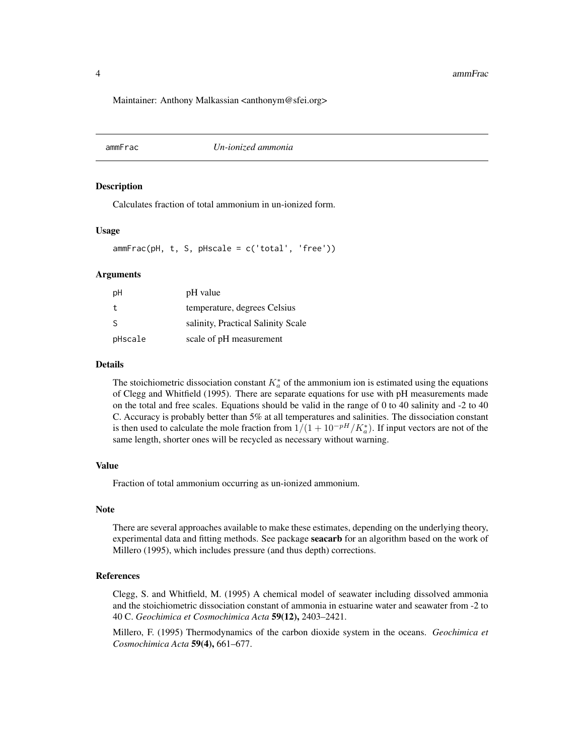<span id="page-3-0"></span>Maintainer: Anthony Malkassian <anthonym@sfei.org>

ammFrac *Un-ionized ammonia*

# Description

Calculates fraction of total ammonium in un-ionized form.

#### Usage

ammFrac(pH, t, S, pHscale = c('total', 'free'))

#### **Arguments**

| рH           | pH value                           |
|--------------|------------------------------------|
| t            | temperature, degrees Celsius       |
| <sub>S</sub> | salinity, Practical Salinity Scale |
| pHscale      | scale of pH measurement            |

#### Details

The stoichiometric dissociation constant  $K_a^*$  of the ammonium ion is estimated using the equations of Clegg and Whitfield (1995). There are separate equations for use with pH measurements made on the total and free scales. Equations should be valid in the range of 0 to 40 salinity and -2 to 40 C. Accuracy is probably better than 5% at all temperatures and salinities. The dissociation constant is then used to calculate the mole fraction from  $1/(1+10^{-pH}/K_a^*)$ . If input vectors are not of the same length, shorter ones will be recycled as necessary without warning.

#### Value

Fraction of total ammonium occurring as un-ionized ammonium.

# Note

There are several approaches available to make these estimates, depending on the underlying theory, experimental data and fitting methods. See package **seacarb** for an algorithm based on the work of Millero (1995), which includes pressure (and thus depth) corrections.

#### References

Clegg, S. and Whitfield, M. (1995) A chemical model of seawater including dissolved ammonia and the stoichiometric dissociation constant of ammonia in estuarine water and seawater from -2 to 40 C. *Geochimica et Cosmochimica Acta* 59(12), 2403–2421.

Millero, F. (1995) Thermodynamics of the carbon dioxide system in the oceans. *Geochimica et Cosmochimica Acta* 59(4), 661–677.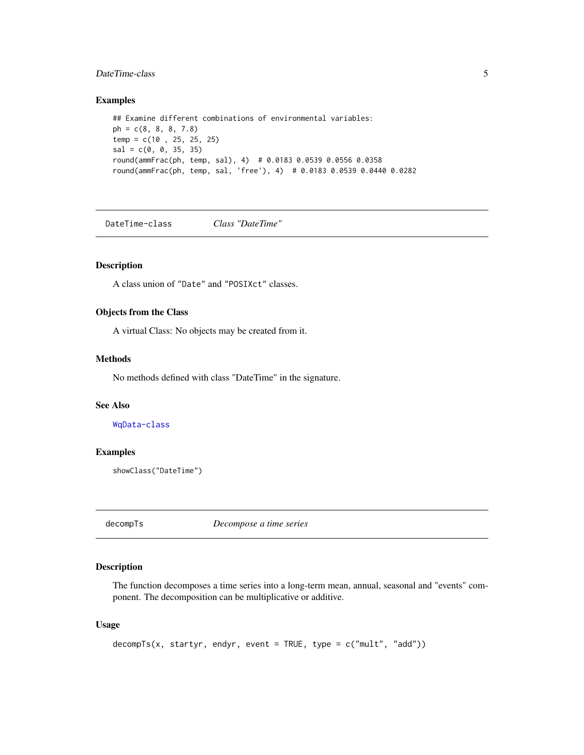# <span id="page-4-0"></span>Date Time-class 5

# Examples

```
## Examine different combinations of environmental variables:
ph = c(8, 8, 8, 7.8)temp = c(10 , 25, 25, 25)
sal = c(0, 0, 35, 35)round(ammFrac(ph, temp, sal), 4) # 0.0183 0.0539 0.0556 0.0358
round(ammFrac(ph, temp, sal, 'free'), 4) # 0.0183 0.0539 0.0440 0.0282
```
<span id="page-4-2"></span>DateTime-class *Class "DateTime"*

# Description

A class union of "Date" and "POSIXct" classes.

#### Objects from the Class

A virtual Class: No objects may be created from it.

# Methods

No methods defined with class "DateTime" in the signature.

# See Also

[WqData-class](#page-36-1)

#### Examples

showClass("DateTime")

<span id="page-4-1"></span>decompTs *Decompose a time series*

# Description

The function decomposes a time series into a long-term mean, annual, seasonal and "events" component. The decomposition can be multiplicative or additive.

# Usage

```
decompTs(x, startyr, endyr, event = TRUE, type = c("mult", "add"))
```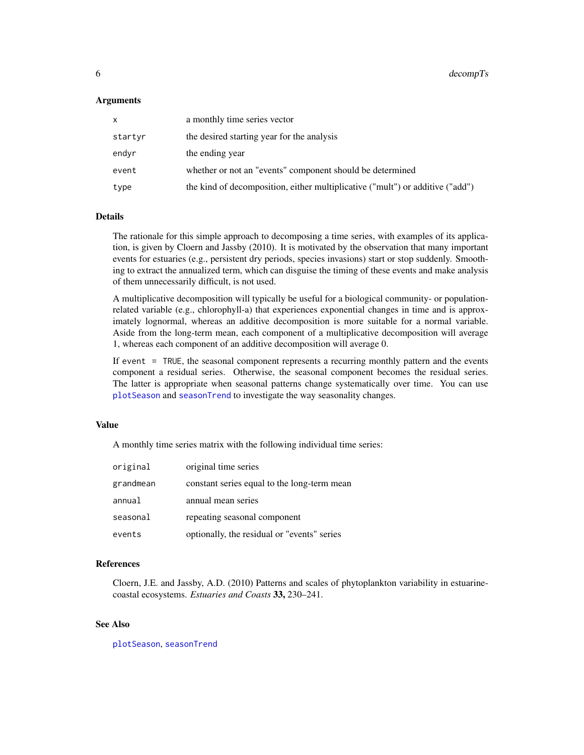#### <span id="page-5-0"></span>Arguments

| x       | a monthly time series vector                                                  |
|---------|-------------------------------------------------------------------------------|
| startyr | the desired starting year for the analysis                                    |
| endvr   | the ending year                                                               |
| event   | whether or not an "events" component should be determined                     |
| type    | the kind of decomposition, either multiplicative ("mult") or additive ("add") |

#### Details

The rationale for this simple approach to decomposing a time series, with examples of its application, is given by Cloern and Jassby (2010). It is motivated by the observation that many important events for estuaries (e.g., persistent dry periods, species invasions) start or stop suddenly. Smoothing to extract the annualized term, which can disguise the timing of these events and make analysis of them unnecessarily difficult, is not used.

A multiplicative decomposition will typically be useful for a biological community- or populationrelated variable (e.g., chlorophyll-a) that experiences exponential changes in time and is approximately lognormal, whereas an additive decomposition is more suitable for a normal variable. Aside from the long-term mean, each component of a multiplicative decomposition will average 1, whereas each component of an additive decomposition will average 0.

If event = TRUE, the seasonal component represents a recurring monthly pattern and the events component a residual series. Otherwise, the seasonal component becomes the residual series. The latter is appropriate when seasonal patterns change systematically over time. You can use [plotSeason](#page-20-1) and [seasonTrend](#page-26-1) to investigate the way seasonality changes.

#### Value

A monthly time series matrix with the following individual time series:

| original  | original time series                        |
|-----------|---------------------------------------------|
| grandmean | constant series equal to the long-term mean |
| annual    | annual mean series                          |
| seasonal  | repeating seasonal component                |
| events    | optionally, the residual or "events" series |

# References

Cloern, J.E. and Jassby, A.D. (2010) Patterns and scales of phytoplankton variability in estuarinecoastal ecosystems. *Estuaries and Coasts* 33, 230–241.

# See Also

[plotSeason](#page-20-1), [seasonTrend](#page-26-1)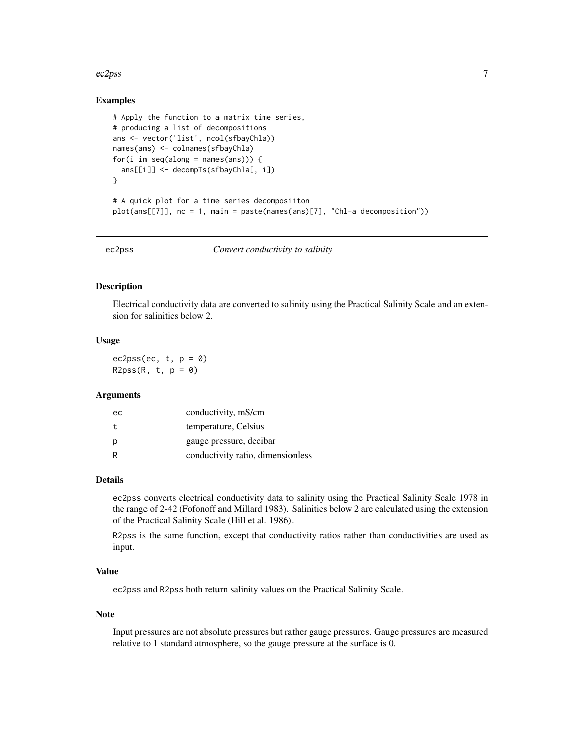#### <span id="page-6-0"></span> $ec2pss$  7

# Examples

```
# Apply the function to a matrix time series,
# producing a list of decompositions
ans <- vector('list', ncol(sfbayChla))
names(ans) <- colnames(sfbayChla)
for(i in seq(along = names(ans))) {
  ans[[i]] <- decompTs(sfbayChla[, i])
}
# A quick plot for a time series decomposiiton
plot(ans[[7]], nc = 1, main = paste(names(ans)[7], "Chl-a decomposition"))
```
ec2pss *Convert conductivity to salinity*

#### Description

Electrical conductivity data are converted to salinity using the Practical Salinity Scale and an extension for salinities below 2.

# Usage

ec2pss(ec,  $t, p = 0$ )  $R2pss(R, t, p = 0)$ 

#### Arguments

| ec | conductivity, mS/cm               |
|----|-----------------------------------|
| t  | temperature, Celsius              |
| р  | gauge pressure, decibar           |
| R  | conductivity ratio, dimensionless |

#### Details

ec2pss converts electrical conductivity data to salinity using the Practical Salinity Scale 1978 in the range of 2-42 (Fofonoff and Millard 1983). Salinities below 2 are calculated using the extension of the Practical Salinity Scale (Hill et al. 1986).

R2pss is the same function, except that conductivity ratios rather than conductivities are used as input.

# Value

ec2pss and R2pss both return salinity values on the Practical Salinity Scale.

#### **Note**

Input pressures are not absolute pressures but rather gauge pressures. Gauge pressures are measured relative to 1 standard atmosphere, so the gauge pressure at the surface is 0.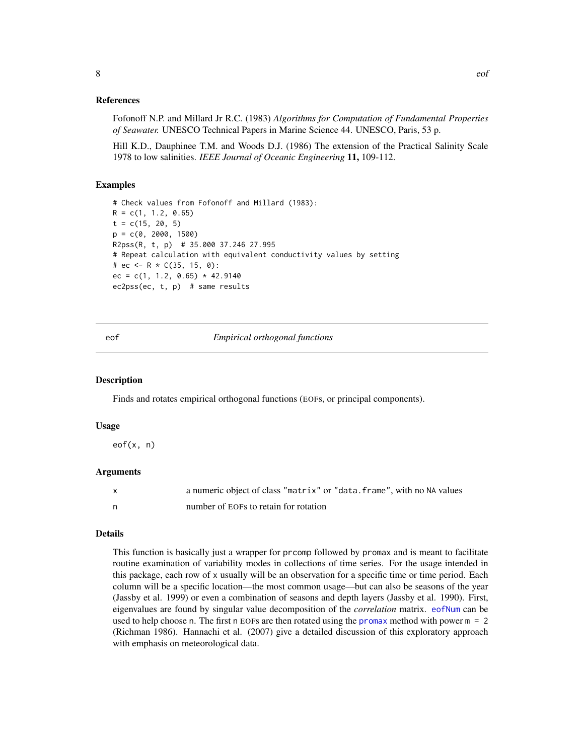<span id="page-7-0"></span>Fofonoff N.P. and Millard Jr R.C. (1983) *Algorithms for Computation of Fundamental Properties of Seawater.* UNESCO Technical Papers in Marine Science 44. UNESCO, Paris, 53 p.

Hill K.D., Dauphinee T.M. and Woods D.J. (1986) The extension of the Practical Salinity Scale 1978 to low salinities. *IEEE Journal of Oceanic Engineering* 11, 109-112.

#### Examples

```
# Check values from Fofonoff and Millard (1983):
R = c(1, 1.2, 0.65)t = c(15, 20, 5)p = c(0, 2000, 1500)R2pss(R, t, p) # 35.000 37.246 27.995
# Repeat calculation with equivalent conductivity values by setting
# ec <- R * C(35, 15, 0):
ec = c(1, 1.2, 0.65) * 42.9140ec2pss(ec, t, p) # same results
```
<span id="page-7-1"></span>

eof *Empirical orthogonal functions*

#### **Description**

Finds and rotates empirical orthogonal functions (EOFs, or principal components).

#### Usage

eof(x, n)

#### Arguments

| a numeric object of class "matrix" or "data. frame", with no NA values |
|------------------------------------------------------------------------|
| number of EOFs to retain for rotation                                  |

# Details

This function is basically just a wrapper for prcomp followed by promax and is meant to facilitate routine examination of variability modes in collections of time series. For the usage intended in this package, each row of x usually will be an observation for a specific time or time period. Each column will be a specific location—the most common usage—but can also be seasons of the year (Jassby et al. 1999) or even a combination of seasons and depth layers (Jassby et al. 1990). First, eigenvalues are found by singular value decomposition of the *correlation* matrix. [eofNum](#page-8-1) can be used to help choose n. The first n EOFs are then rotated using the [promax](#page-0-0) method with power  $m = 2$ (Richman 1986). Hannachi et al. (2007) give a detailed discussion of this exploratory approach with emphasis on meteorological data.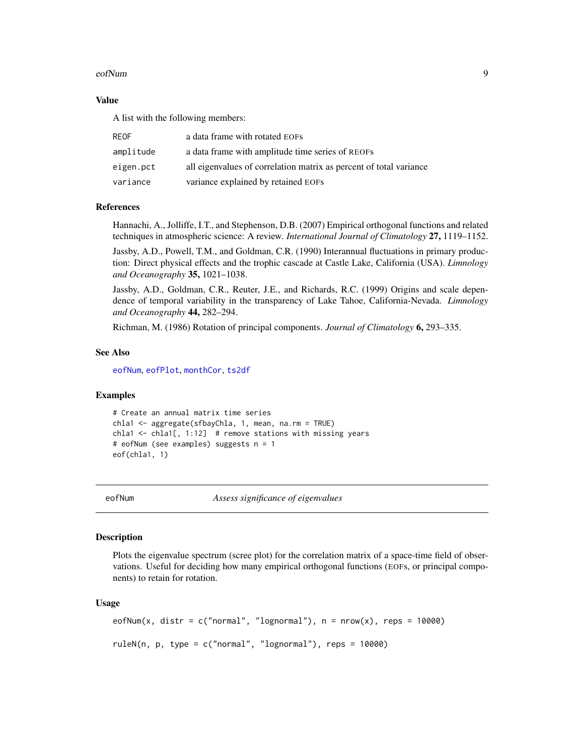#### <span id="page-8-0"></span>eofNum 9

# Value

A list with the following members:

| <b>REOF</b> | a data frame with rotated EOFs                                     |
|-------------|--------------------------------------------------------------------|
| amplitude   | a data frame with amplitude time series of REOFS                   |
| eigen.pct   | all eigenvalues of correlation matrix as percent of total variance |
| variance    | variance explained by retained EOFs                                |

#### References

Hannachi, A., Jolliffe, I.T., and Stephenson, D.B. (2007) Empirical orthogonal functions and related techniques in atmospheric science: A review. *International Journal of Climatology* 27, 1119–1152.

Jassby, A.D., Powell, T.M., and Goldman, C.R. (1990) Interannual fluctuations in primary production: Direct physical effects and the trophic cascade at Castle Lake, California (USA). *Limnology and Oceanography* 35, 1021–1038.

Jassby, A.D., Goldman, C.R., Reuter, J.E., and Richards, R.C. (1999) Origins and scale dependence of temporal variability in the transparency of Lake Tahoe, California-Nevada. *Limnology and Oceanography* 44, 282–294.

Richman, M. (1986) Rotation of principal components. *Journal of Climatology* 6, 293–335.

#### See Also

[eofNum](#page-8-1), [eofPlot](#page-10-1), [monthCor](#page-30-1), [ts2df](#page-30-2)

#### Examples

```
# Create an annual matrix time series
chla1 <- aggregate(sfbayChla, 1, mean, na.rm = TRUE)
chla1 <- chla1[, 1:12] # remove stations with missing years
# eofNum (see examples) suggests n = 1
eof(chla1, 1)
```
<span id="page-8-1"></span>eofNum *Assess significance of eigenvalues*

#### Description

Plots the eigenvalue spectrum (scree plot) for the correlation matrix of a space-time field of observations. Useful for deciding how many empirical orthogonal functions (EOFs, or principal components) to retain for rotation.

#### Usage

```
eofNum(x, distr = c("normal", "lognormal"), n = nrow(x), reps = 10000)
ruleN(n, p, type = c("normal", "lognormal"), reps = 10000)
```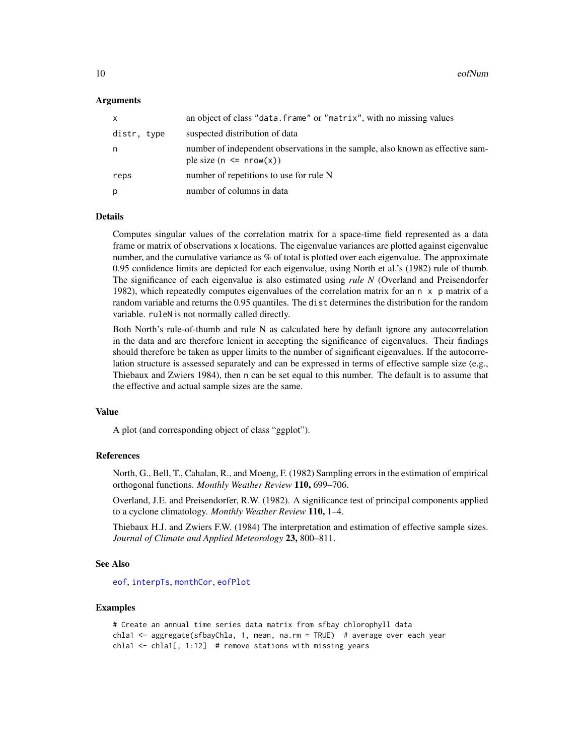#### <span id="page-9-0"></span>Arguments

| distr, type<br>suspected distribution of data<br>n<br>ple size $(n \leq nrow(x))$<br>number of repetitions to use for rule N<br>reps<br>number of columns in data<br>p | x | an object of class "data. frame" or "matrix", with no missing values           |
|------------------------------------------------------------------------------------------------------------------------------------------------------------------------|---|--------------------------------------------------------------------------------|
|                                                                                                                                                                        |   |                                                                                |
|                                                                                                                                                                        |   | number of independent observations in the sample, also known as effective sam- |
|                                                                                                                                                                        |   |                                                                                |
|                                                                                                                                                                        |   |                                                                                |

#### Details

Computes singular values of the correlation matrix for a space-time field represented as a data frame or matrix of observations x locations. The eigenvalue variances are plotted against eigenvalue number, and the cumulative variance as % of total is plotted over each eigenvalue. The approximate 0.95 confidence limits are depicted for each eigenvalue, using North et al.'s (1982) rule of thumb. The significance of each eigenvalue is also estimated using *rule N* (Overland and Preisendorfer 1982), which repeatedly computes eigenvalues of the correlation matrix for an  $n \times p$  matrix of a random variable and returns the 0.95 quantiles. The dist determines the distribution for the random variable. ruleN is not normally called directly.

Both North's rule-of-thumb and rule N as calculated here by default ignore any autocorrelation in the data and are therefore lenient in accepting the significance of eigenvalues. Their findings should therefore be taken as upper limits to the number of significant eigenvalues. If the autocorrelation structure is assessed separately and can be expressed in terms of effective sample size (e.g., Thiebaux and Zwiers 1984), then n can be set equal to this number. The default is to assume that the effective and actual sample sizes are the same.

# Value

A plot (and corresponding object of class "ggplot").

#### References

North, G., Bell, T., Cahalan, R., and Moeng, F. (1982) Sampling errors in the estimation of empirical orthogonal functions. *Monthly Weather Review* 110, 699–706.

Overland, J.E. and Preisendorfer, R.W. (1982). A significance test of principal components applied to a cyclone climatology. *Monthly Weather Review* 110, 1–4.

Thiebaux H.J. and Zwiers F.W. (1984) The interpretation and estimation of effective sample sizes. *Journal of Climate and Applied Meteorology* 23, 800–811.

# See Also

[eof](#page-7-1), [interpTs](#page-11-1), [monthCor](#page-30-1), [eofPlot](#page-10-1)

# Examples

```
# Create an annual time series data matrix from sfbay chlorophyll data
chla1 <- aggregate(sfbayChla, 1, mean, na.rm = TRUE) # average over each year
chla1 <- chla1[, 1:12] # remove stations with missing years
```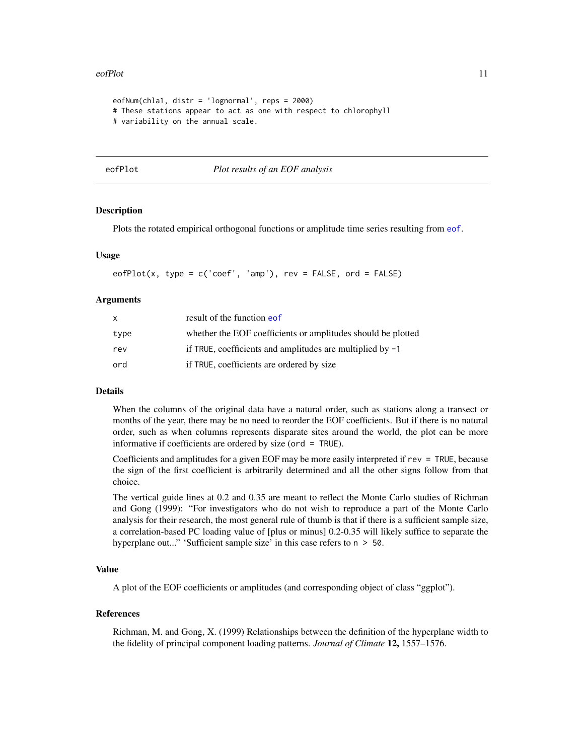#### <span id="page-10-0"></span>eofPlot 11

```
eofNum(chla1, distr = 'lognormal', reps = 2000)
# These stations appear to act as one with respect to chlorophyll
# variability on the annual scale.
```
<span id="page-10-1"></span>

#### eofPlot *Plot results of an EOF analysis*

# **Description**

Plots the rotated empirical orthogonal functions or amplitude time series resulting from [eof](#page-7-1).

# Usage

 $eofPlot(x, type = c('coef', 'amp'), rev = FALSE, ord = FALSE)$ 

#### Arguments

| X    | result of the function eof                                   |
|------|--------------------------------------------------------------|
| type | whether the EOF coefficients or amplitudes should be plotted |
| rev  | if TRUE, coefficients and amplitudes are multiplied by $-1$  |
| ord  | if TRUE, coefficients are ordered by size                    |

# **Details**

When the columns of the original data have a natural order, such as stations along a transect or months of the year, there may be no need to reorder the EOF coefficients. But if there is no natural order, such as when columns represents disparate sites around the world, the plot can be more informative if coefficients are ordered by size (ord = TRUE).

Coefficients and amplitudes for a given EOF may be more easily interpreted if rev = TRUE, because the sign of the first coefficient is arbitrarily determined and all the other signs follow from that choice.

The vertical guide lines at 0.2 and 0.35 are meant to reflect the Monte Carlo studies of Richman and Gong (1999): "For investigators who do not wish to reproduce a part of the Monte Carlo analysis for their research, the most general rule of thumb is that if there is a sufficient sample size, a correlation-based PC loading value of [plus or minus] 0.2-0.35 will likely suffice to separate the hyperplane out..." 'Sufficient sample size' in this case refers to  $n > 50$ .

# Value

A plot of the EOF coefficients or amplitudes (and corresponding object of class "ggplot").

#### References

Richman, M. and Gong, X. (1999) Relationships between the definition of the hyperplane width to the fidelity of principal component loading patterns. *Journal of Climate* 12, 1557–1576.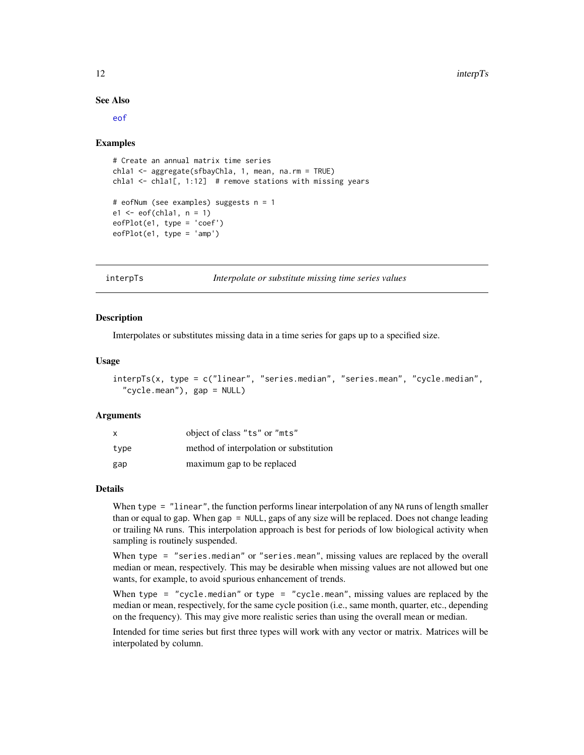#### <span id="page-11-0"></span>See Also

[eof](#page-7-1)

#### Examples

```
# Create an annual matrix time series
chla1 <- aggregate(sfbayChla, 1, mean, na.rm = TRUE)
chla1 \le chla1[, 1:12] # remove stations with missing years
# eofNum (see examples) suggests n = 1
e1 \leftarrow eof(chla1, n = 1)eofPlot(e1, type = 'coef')
eofPlot(e1, type = 'amp')
```
<span id="page-11-1"></span>interpTs *Interpolate or substitute missing time series values*

# **Description**

Imterpolates or substitutes missing data in a time series for gaps up to a specified size.

# Usage

```
interpTs(x, type = c("linear", "series.median", "series.mean", "cycle.median",
  "cycle.mean"), gap = NULL)
```
#### Arguments

| $\mathsf{x}$ | object of class "ts" or "mts"           |
|--------------|-----------------------------------------|
| type         | method of interpolation or substitution |
| gap          | maximum gap to be replaced              |

# Details

When type = "linear", the function performs linear interpolation of any NA runs of length smaller than or equal to gap. When gap = NULL, gaps of any size will be replaced. Does not change leading or trailing NA runs. This interpolation approach is best for periods of low biological activity when sampling is routinely suspended.

When type = "series.median" or "series.mean", missing values are replaced by the overall median or mean, respectively. This may be desirable when missing values are not allowed but one wants, for example, to avoid spurious enhancement of trends.

When type = "cycle.median" or type = "cycle.mean", missing values are replaced by the median or mean, respectively, for the same cycle position (i.e., same month, quarter, etc., depending on the frequency). This may give more realistic series than using the overall mean or median.

Intended for time series but first three types will work with any vector or matrix. Matrices will be interpolated by column.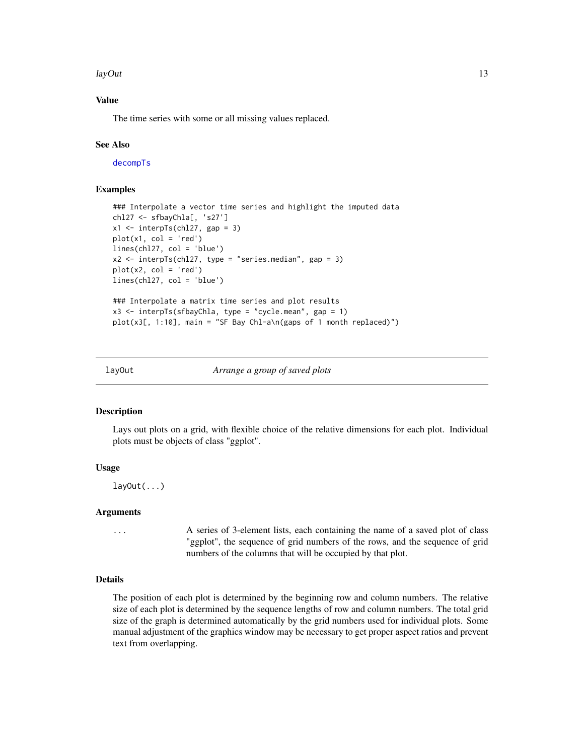#### <span id="page-12-0"></span>layOut 13

# Value

The time series with some or all missing values replaced.

# See Also

[decompTs](#page-4-1)

# Examples

```
### Interpolate a vector time series and highlight the imputed data
chl27 <- sfbayChla[, 's27']
x1 \le interpTs(chl27, gap = 3)
plot(x1, col = 'red')lines(chl27, col = 'blue')
x2 \le - interpTs(chl27, type = "series.median", gap = 3)
plot(x2, col = 'red')lines(chl27, col = 'blue')
### Interpolate a matrix time series and plot results
x3 \le interpTs(sfbayChla, type = "cycle.mean", gap = 1)
plot(x3[, 1:10], main = "SF Bay Chl-a\n(gaps of 1 month replaced)")
```
layOut *Arrange a group of saved plots*

#### **Description**

Lays out plots on a grid, with flexible choice of the relative dimensions for each plot. Individual plots must be objects of class "ggplot".

# Usage

layOut(...)

# Arguments

... A series of 3-element lists, each containing the name of a saved plot of class "ggplot", the sequence of grid numbers of the rows, and the sequence of grid numbers of the columns that will be occupied by that plot.

#### Details

The position of each plot is determined by the beginning row and column numbers. The relative size of each plot is determined by the sequence lengths of row and column numbers. The total grid size of the graph is determined automatically by the grid numbers used for individual plots. Some manual adjustment of the graphics window may be necessary to get proper aspect ratios and prevent text from overlapping.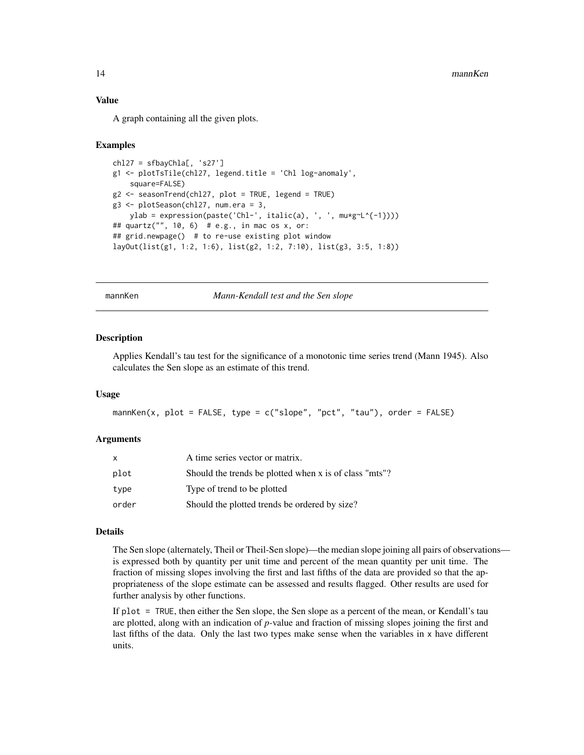# Value

A graph containing all the given plots.

#### Examples

```
ch127 = sfbayChla[, 's27']g1 <- plotTsTile(chl27, legend.title = 'Chl log-anomaly',
    square=FALSE)
g2 <- seasonTrend(chl27, plot = TRUE, legend = TRUE)
g3 <- plotSeason(chl27, num.era = 3,
    ylab = expression(paste('Chl-', italic(a), ', ', mu*g~L^{-1})))
## quartz("", 10, 6) # e.g., in mac os x, or:
## grid.newpage() # to re-use existing plot window
layOut(list(g1, 1:2, 1:6), list(g2, 1:2, 7:10), list(g3, 3:5, 1:8))
```
<span id="page-13-1"></span>mannKen *Mann-Kendall test and the Sen slope*

#### Description

Applies Kendall's tau test for the significance of a monotonic time series trend (Mann 1945). Also calculates the Sen slope as an estimate of this trend.

#### Usage

mannKen(x, plot = FALSE, type =  $c("slope", "pot", "tau"), order = FALSE)$ 

#### Arguments

| x     | A time series vector or matrix.                        |
|-------|--------------------------------------------------------|
| plot  | Should the trends be plotted when x is of class "mts"? |
| type  | Type of trend to be plotted                            |
| order | Should the plotted trends be ordered by size?          |

# Details

The Sen slope (alternately, Theil or Theil-Sen slope)—the median slope joining all pairs of observations is expressed both by quantity per unit time and percent of the mean quantity per unit time. The fraction of missing slopes involving the first and last fifths of the data are provided so that the appropriateness of the slope estimate can be assessed and results flagged. Other results are used for further analysis by other functions.

If plot = TRUE, then either the Sen slope, the Sen slope as a percent of the mean, or Kendall's tau are plotted, along with an indication of *p-*value and fraction of missing slopes joining the first and last fifths of the data. Only the last two types make sense when the variables in x have different units.

<span id="page-13-0"></span>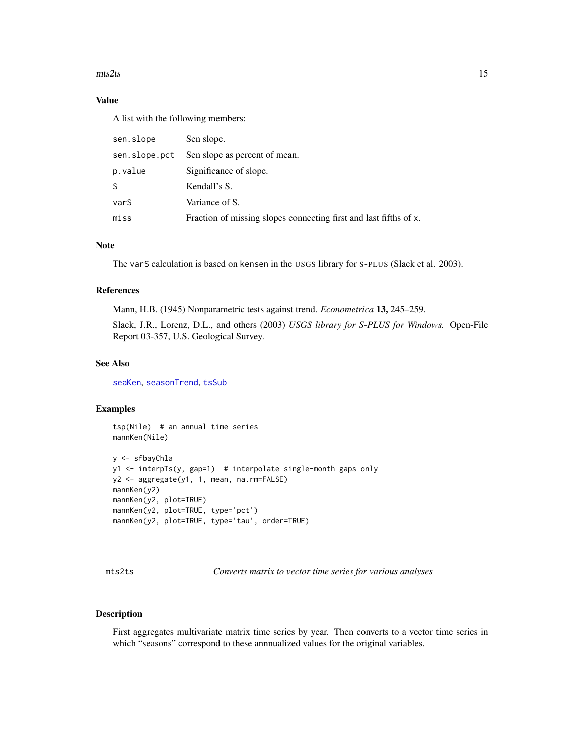#### <span id="page-14-0"></span> $\text{mts2ts}$  15

# Value

A list with the following members:

| sen.slope     | Sen slope.                                                        |
|---------------|-------------------------------------------------------------------|
| sen.slope.pct | Sen slope as percent of mean.                                     |
| p.value       | Significance of slope.                                            |
| S             | Kendall's S.                                                      |
| varS          | Variance of S.                                                    |
| miss          | Fraction of missing slopes connecting first and last fifths of x. |

#### **Note**

The varS calculation is based on kensen in the USGS library for S-PLUS (Slack et al. 2003).

# References

Mann, H.B. (1945) Nonparametric tests against trend. *Econometrica* 13, 245–259.

Slack, J.R., Lorenz, D.L., and others (2003) *USGS library for S-PLUS for Windows.* Open-File Report 03-357, U.S. Geological Survey.

# See Also

[seaKen](#page-24-1), [seasonTrend](#page-26-1), [tsSub](#page-33-1)

# Examples

```
tsp(Nile) # an annual time series
mannKen(Nile)
y <- sfbayChla
y1 <- interpTs(y, gap=1) # interpolate single-month gaps only
y2 <- aggregate(y1, 1, mean, na.rm=FALSE)
mannKen(y2)
mannKen(y2, plot=TRUE)
mannKen(y2, plot=TRUE, type='pct')
mannKen(y2, plot=TRUE, type='tau', order=TRUE)
```
<span id="page-14-1"></span>mts2ts *Converts matrix to vector time series for various analyses*

#### Description

First aggregates multivariate matrix time series by year. Then converts to a vector time series in which "seasons" correspond to these annnualized values for the original variables.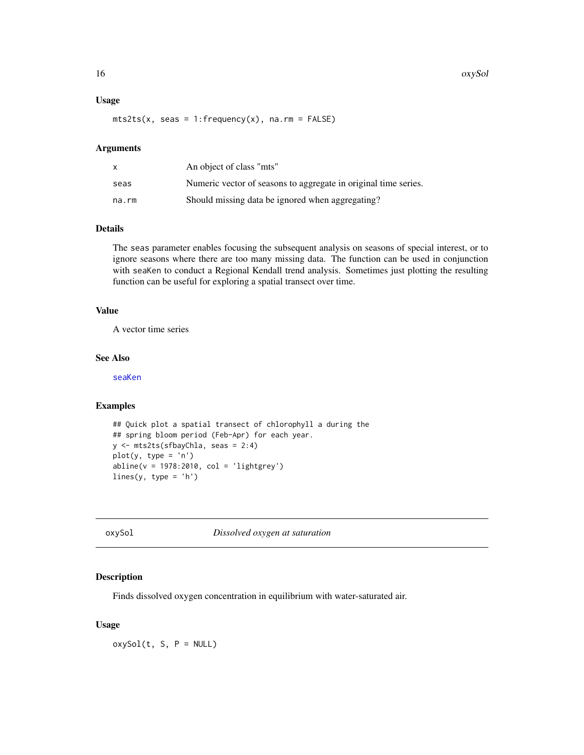#### Usage

 $mts2ts(x, seas = 1:frequency(x), na.rm = FALSE)$ 

#### Arguments

|       | An object of class "mts"                                        |
|-------|-----------------------------------------------------------------|
| seas  | Numeric vector of seasons to aggregate in original time series. |
| na.rm | Should missing data be ignored when aggregating?                |

# Details

The seas parameter enables focusing the subsequent analysis on seasons of special interest, or to ignore seasons where there are too many missing data. The function can be used in conjunction with seaKen to conduct a Regional Kendall trend analysis. Sometimes just plotting the resulting function can be useful for exploring a spatial transect over time.

# Value

A vector time series

# See Also

[seaKen](#page-24-1)

# Examples

```
## Quick plot a spatial transect of chlorophyll a during the
## spring bloom period (Feb-Apr) for each year.
y <- mts2ts(sfbayChla, seas = 2:4)
plot(y, type = 'n')
abline(v = 1978:2010, col = 'lightgrey')
lines(y, type = 'h')
```
oxySol *Dissolved oxygen at saturation*

# Description

Finds dissolved oxygen concentration in equilibrium with water-saturated air.

# Usage

 $oxySol(t, S, P = NULL)$ 

<span id="page-15-0"></span>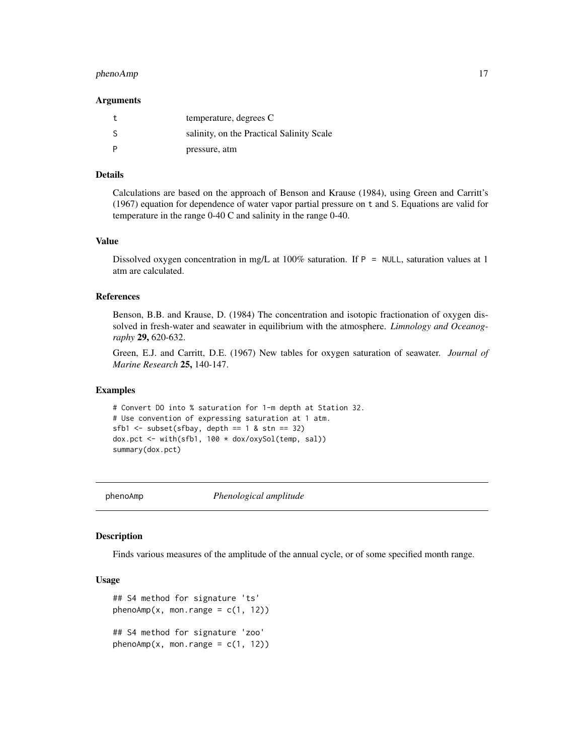#### <span id="page-16-0"></span>phenoAmp 2012 17

#### Arguments

|    | temperature, degrees C                    |
|----|-------------------------------------------|
| -S | salinity, on the Practical Salinity Scale |
|    | pressure, atm                             |

#### Details

Calculations are based on the approach of Benson and Krause (1984), using Green and Carritt's (1967) equation for dependence of water vapor partial pressure on t and S. Equations are valid for temperature in the range 0-40 C and salinity in the range 0-40.

#### Value

Dissolved oxygen concentration in mg/L at 100% saturation. If  $P = NULL$ , saturation values at 1 atm are calculated.

#### References

Benson, B.B. and Krause, D. (1984) The concentration and isotopic fractionation of oxygen dissolved in fresh-water and seawater in equilibrium with the atmosphere. *Limnology and Oceanography* 29, 620-632.

Green, E.J. and Carritt, D.E. (1967) New tables for oxygen saturation of seawater. *Journal of Marine Research* 25, 140-147.

#### Examples

# Convert DO into % saturation for 1-m depth at Station 32. # Use convention of expressing saturation at 1 atm.  $sfb1$  <- subset(sfbay, depth == 1 & stn == 32) dox.pct <- with(sfb1, 100 \* dox/oxySol(temp, sal)) summary(dox.pct)

<span id="page-16-1"></span>phenoAmp *Phenological amplitude*

#### **Description**

Finds various measures of the amplitude of the annual cycle, or of some specified month range.

#### Usage

```
## S4 method for signature 'ts'
phenoAmp(x, \text{mon-range} = c(1, 12))## S4 method for signature 'zoo'
phenoAmp(x, mon-range = c(1, 12))
```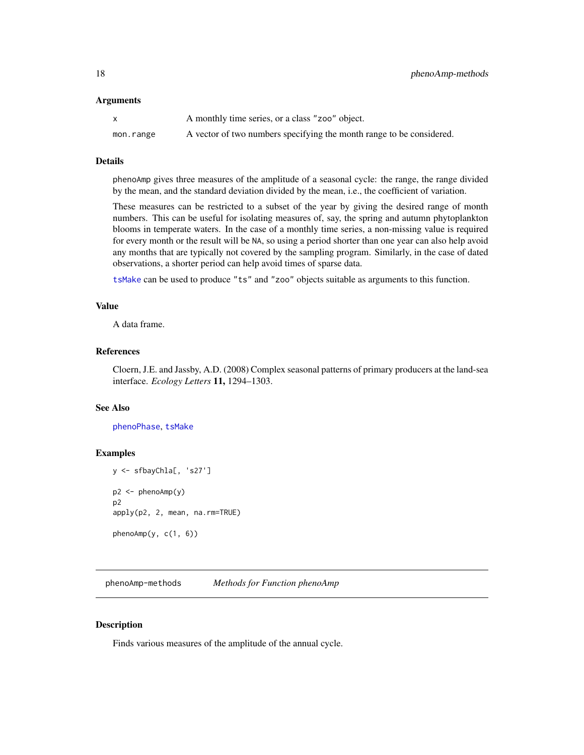#### <span id="page-17-0"></span>Arguments

|           | A monthly time series, or a class "zoo" object.                      |
|-----------|----------------------------------------------------------------------|
| mon.range | A vector of two numbers specifying the month range to be considered. |

#### Details

phenoAmp gives three measures of the amplitude of a seasonal cycle: the range, the range divided by the mean, and the standard deviation divided by the mean, i.e., the coefficient of variation.

These measures can be restricted to a subset of the year by giving the desired range of month numbers. This can be useful for isolating measures of, say, the spring and autumn phytoplankton blooms in temperate waters. In the case of a monthly time series, a non-missing value is required for every month or the result will be NA, so using a period shorter than one year can also help avoid any months that are typically not covered by the sampling program. Similarly, in the case of dated observations, a shorter period can help avoid times of sparse data.

[tsMake](#page-31-1) can be used to produce "ts" and "zoo" objects suitable as arguments to this function.

#### Value

A data frame.

# References

Cloern, J.E. and Jassby, A.D. (2008) Complex seasonal patterns of primary producers at the land-sea interface. *Ecology Letters* 11, 1294–1303.

#### See Also

[phenoPhase](#page-18-1), [tsMake](#page-31-1)

#### Examples

```
y <- sfbayChla[, 's27']
p2 \le - phenoAmp(y)
p2
apply(p2, 2, mean, na.rm=TRUE)
phenoAmp(y, c(1, 6))
```
phenoAmp-methods *Methods for Function phenoAmp*

# **Description**

Finds various measures of the amplitude of the annual cycle.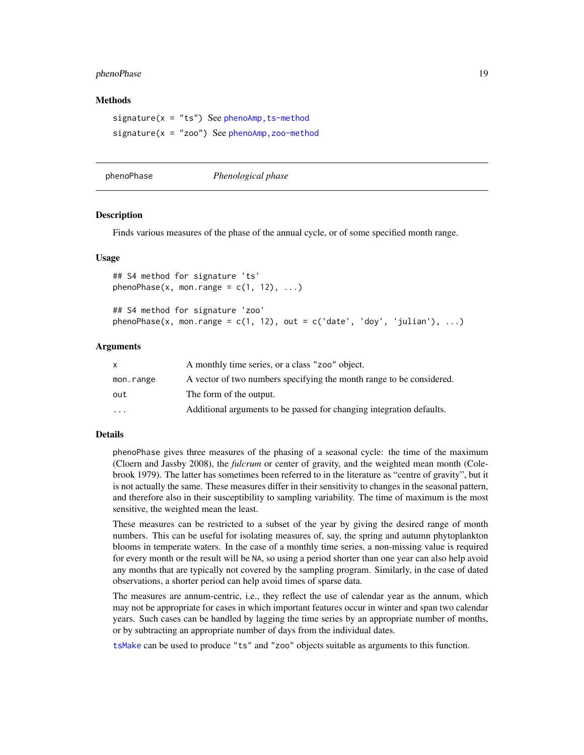#### <span id="page-18-0"></span>phenoPhase 19

#### Methods

 $signature(x = "ts")$  See phenoAmp, ts-method  $signature(x = "zoo")$  See phenoAmp, zoo-method

<span id="page-18-1"></span>

phenoPhase *Phenological phase*

#### **Description**

Finds various measures of the phase of the annual cycle, or of some specified month range.

#### Usage

## S4 method for signature 'ts'  $phenoPhase(x, mon-range = c(1, 12), ...)$ ## S4 method for signature 'zoo'

phenoPhase(x, mon.range =  $c(1, 12)$ , out =  $c('date', 'doy', 'julian'), ...)$ 

#### Arguments

| X         | A monthly time series, or a class "zoo" object.                      |
|-----------|----------------------------------------------------------------------|
| mon.range | A vector of two numbers specifying the month range to be considered. |
| out       | The form of the output.                                              |
| $\cdots$  | Additional arguments to be passed for changing integration defaults. |

#### Details

phenoPhase gives three measures of the phasing of a seasonal cycle: the time of the maximum (Cloern and Jassby 2008), the *fulcrum* or center of gravity, and the weighted mean month (Colebrook 1979). The latter has sometimes been referred to in the literature as "centre of gravity", but it is not actually the same. These measures differ in their sensitivity to changes in the seasonal pattern, and therefore also in their susceptibility to sampling variability. The time of maximum is the most sensitive, the weighted mean the least.

These measures can be restricted to a subset of the year by giving the desired range of month numbers. This can be useful for isolating measures of, say, the spring and autumn phytoplankton blooms in temperate waters. In the case of a monthly time series, a non-missing value is required for every month or the result will be NA, so using a period shorter than one year can also help avoid any months that are typically not covered by the sampling program. Similarly, in the case of dated observations, a shorter period can help avoid times of sparse data.

The measures are annum-centric, i.e., they reflect the use of calendar year as the annum, which may not be appropriate for cases in which important features occur in winter and span two calendar years. Such cases can be handled by lagging the time series by an appropriate number of months, or by subtracting an appropriate number of days from the individual dates.

[tsMake](#page-31-1) can be used to produce "ts" and "zoo" objects suitable as arguments to this function.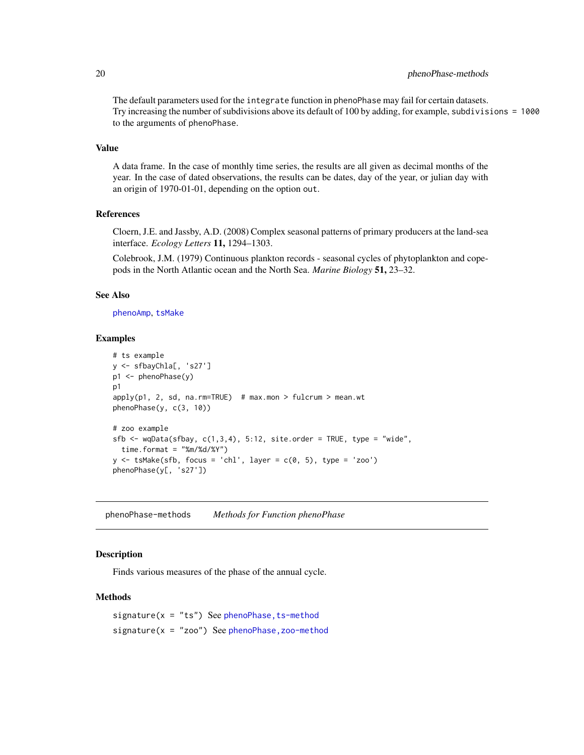# <span id="page-19-0"></span>20 phenoPhase-methods **phenoPhase-methods**

The default parameters used for the integrate function in phenoPhase may fail for certain datasets. Try increasing the number of subdivisions above its default of 100 by adding, for example, subdivisions = 1000 to the arguments of phenoPhase.

#### Value

A data frame. In the case of monthly time series, the results are all given as decimal months of the year. In the case of dated observations, the results can be dates, day of the year, or julian day with an origin of 1970-01-01, depending on the option out.

# References

Cloern, J.E. and Jassby, A.D. (2008) Complex seasonal patterns of primary producers at the land-sea interface. *Ecology Letters* 11, 1294–1303.

Colebrook, J.M. (1979) Continuous plankton records - seasonal cycles of phytoplankton and copepods in the North Atlantic ocean and the North Sea. *Marine Biology* 51, 23–32.

#### See Also

[phenoAmp](#page-16-1), [tsMake](#page-31-1)

#### Examples

```
# ts example
y <- sfbayChla[, 's27']
p1 <- phenoPhase(y)
p1
apply(p1, 2, sd, na.rm=TRUE) # max.mon > fulcrum > mean.wt
phenoPhase(y, c(3, 10))
# zoo example
sfb \leq wqData(sfbay, c(1,3,4), 5:12, site.order = TRUE, type = "wide",
  time.format = \text{"%m} \times \text{d} \times \text{Y"}y \le -tsMake(sfb, focus = 'chl', layer = c(0, 5), type = 'zoo')
phenoPhase(y[, 's27'])
```
phenoPhase-methods *Methods for Function phenoPhase*

#### Description

Finds various measures of the phase of the annual cycle.

# Methods

signature( $x = "ts"$ ) See phenoPhase, ts-method  $signature(x = "zoo")$  See phenoPhase, zoo-method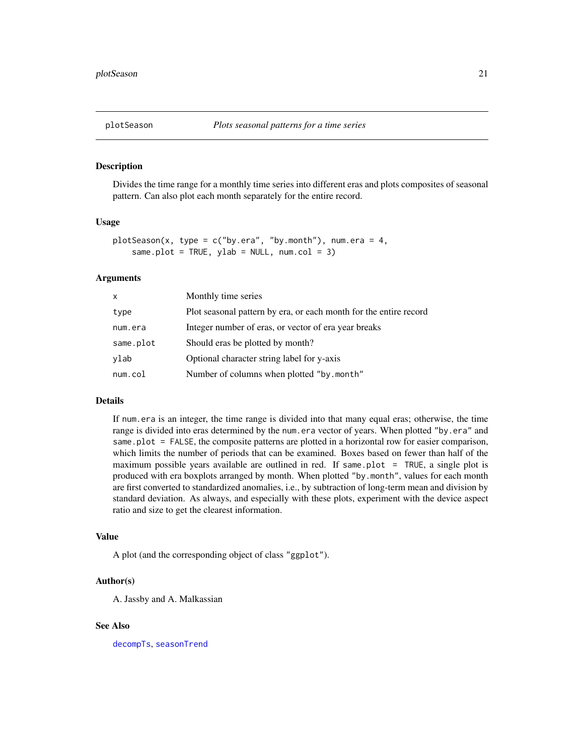<span id="page-20-1"></span><span id="page-20-0"></span>

# Description

Divides the time range for a monthly time series into different eras and plots composites of seasonal pattern. Can also plot each month separately for the entire record.

#### Usage

```
plotseason(x, type = c("by.era", "by.month"), num.era = 4,same.plot = TRUE, ylab = NULL, num.col = 3)
```
# Arguments

| x         | Monthly time series                                               |
|-----------|-------------------------------------------------------------------|
| type      | Plot seasonal pattern by era, or each month for the entire record |
| num.era   | Integer number of eras, or vector of era year breaks              |
| same.plot | Should eras be plotted by month?                                  |
| vlab      | Optional character string label for y-axis                        |
| num.col   | Number of columns when plotted "by.month"                         |

# Details

If num.era is an integer, the time range is divided into that many equal eras; otherwise, the time range is divided into eras determined by the num.era vector of years. When plotted "by.era" and same.plot = FALSE, the composite patterns are plotted in a horizontal row for easier comparison, which limits the number of periods that can be examined. Boxes based on fewer than half of the maximum possible years available are outlined in red. If same.plot =  $TRUE$ , a single plot is produced with era boxplots arranged by month. When plotted "by.month", values for each month are first converted to standardized anomalies, i.e., by subtraction of long-term mean and division by standard deviation. As always, and especially with these plots, experiment with the device aspect ratio and size to get the clearest information.

#### Value

A plot (and the corresponding object of class "ggplot").

#### Author(s)

A. Jassby and A. Malkassian

#### See Also

[decompTs](#page-4-1), [seasonTrend](#page-26-1)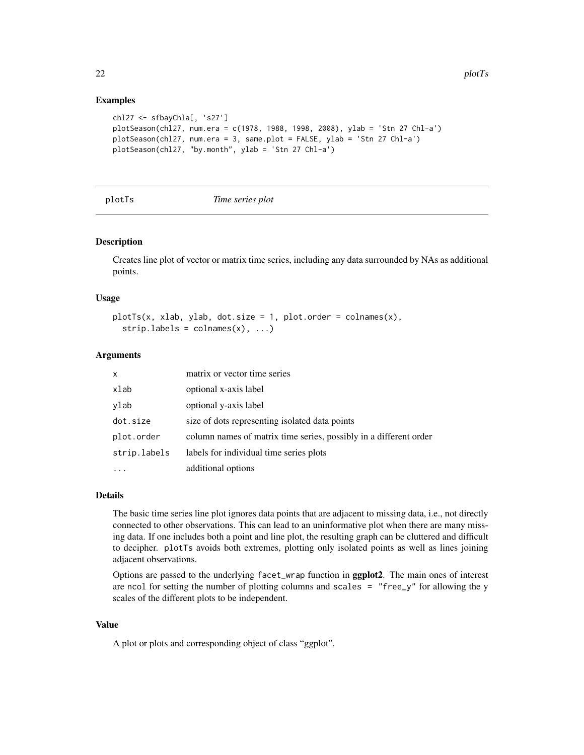### Examples

```
chl27 <- sfbayChla[, 's27']
plotSeason(chl27, num.era = c(1978, 1988, 1998, 2008), ylab = 'Stn 27 Chl-a')
plotSeason(chl27, num.era = 3, same.plot = FALSE, ylab = 'Stn 27 Chl-a')
plotSeason(chl27, "by.month", ylab = 'Stn 27 Chl-a')
```
plotTs *Time series plot*

# Description

Creates line plot of vector or matrix time series, including any data surrounded by NAs as additional points.

#### Usage

 $plotTs(x, xlab, ylab, dot.size = 1, plot. order = colnames(x),$  $stripuabels = columns(x), ...$ 

#### Arguments

| $\mathsf{x}$ | matrix or vector time series                                      |
|--------------|-------------------------------------------------------------------|
| xlab         | optional x-axis label                                             |
| ylab         | optional y-axis label                                             |
| dot.size     | size of dots representing isolated data points                    |
| plot.order   | column names of matrix time series, possibly in a different order |
| strip.labels | labels for individual time series plots                           |
|              | additional options                                                |

#### Details

The basic time series line plot ignores data points that are adjacent to missing data, i.e., not directly connected to other observations. This can lead to an uninformative plot when there are many missing data. If one includes both a point and line plot, the resulting graph can be cluttered and difficult to decipher. plotTs avoids both extremes, plotting only isolated points as well as lines joining adjacent observations.

Options are passed to the underlying facet\_wrap function in ggplot2. The main ones of interest are ncol for setting the number of plotting columns and scales = "free\_y" for allowing the y scales of the different plots to be independent.

# Value

A plot or plots and corresponding object of class "ggplot".

<span id="page-21-0"></span>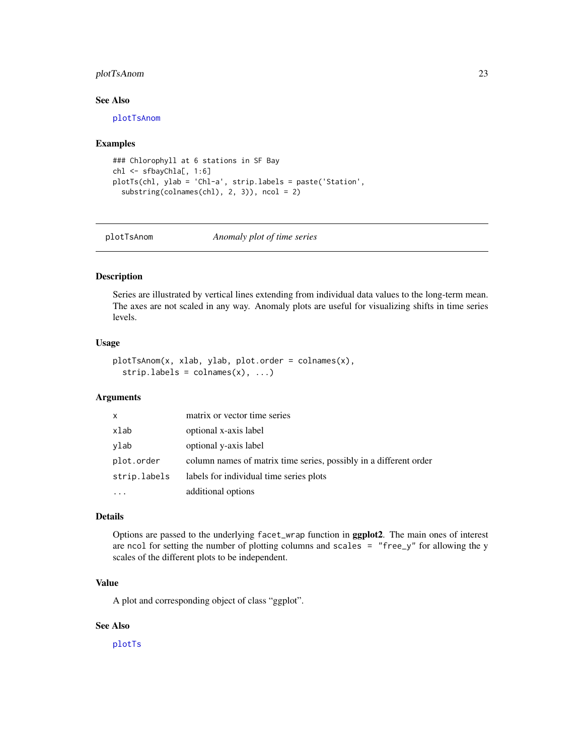# <span id="page-22-0"></span>plotTsAnom 23

#### See Also

[plotTsAnom](#page-22-1)

#### Examples

```
### Chlorophyll at 6 stations in SF Bay
chl <- sfbayChla[, 1:6]
plotTs(chl, ylab = 'Chl-a', strip.labels = paste('Station',
  substring(colnames(chl), 2, 3)), ncol = 2)
```
<span id="page-22-1"></span>

plotTsAnom *Anomaly plot of time series*

# Description

Series are illustrated by vertical lines extending from individual data values to the long-term mean. The axes are not scaled in any way. Anomaly plots are useful for visualizing shifts in time series levels.

#### Usage

```
plotTsAnom(x, xlab, ylab, plot.order = colnames(x),
  stripuabels = columns(x), ...
```
#### Arguments

| x            | matrix or vector time series                                      |
|--------------|-------------------------------------------------------------------|
| xlab         | optional x-axis label                                             |
| ylab         | optional y-axis label                                             |
| plot.order   | column names of matrix time series, possibly in a different order |
| strip.labels | labels for individual time series plots                           |
|              | additional options                                                |

# Details

Options are passed to the underlying facet\_wrap function in ggplot2. The main ones of interest are ncol for setting the number of plotting columns and scales  $=$  "free\_y" for allowing the y scales of the different plots to be independent.

# Value

A plot and corresponding object of class "ggplot".

# See Also

[plotTs](#page-21-1)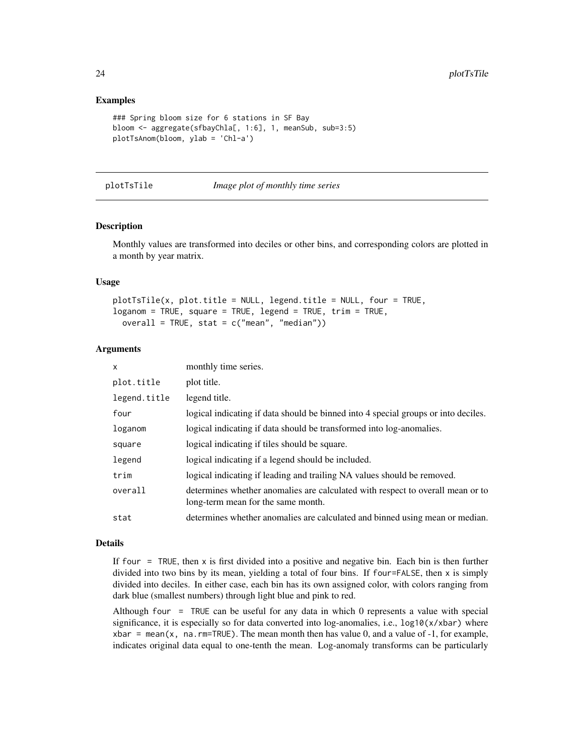### Examples

```
### Spring bloom size for 6 stations in SF Bay
bloom <- aggregate(sfbayChla[, 1:6], 1, meanSub, sub=3:5)
plotTsAnom(bloom, ylab = 'Chl-a')
```
#### plotTsTile *Image plot of monthly time series*

#### **Description**

Monthly values are transformed into deciles or other bins, and corresponding colors are plotted in a month by year matrix.

#### Usage

```
plotTsTile(x, plot.title = NULL, legend.title = NULL, four = TRUE,
loganom = TRUE, square = TRUE, legend = TRUE, trim = TRUE,
 overall = TRUE, stat = c("mean", "median")
```
#### Arguments

| x            | monthly time series.                                                                                                 |
|--------------|----------------------------------------------------------------------------------------------------------------------|
| plot.title   | plot title.                                                                                                          |
| legend.title | legend title.                                                                                                        |
| four         | logical indicating if data should be binned into 4 special groups or into deciles.                                   |
| loganom      | logical indicating if data should be transformed into log-anomalies.                                                 |
| square       | logical indicating if tiles should be square.                                                                        |
| legend       | logical indicating if a legend should be included.                                                                   |
| trim         | logical indicating if leading and trailing NA values should be removed.                                              |
| overall      | determines whether anomalies are calculated with respect to overall mean or to<br>long-term mean for the same month. |
| stat         | determines whether anomalies are calculated and binned using mean or median.                                         |

#### Details

If four  $=$  TRUE, then x is first divided into a positive and negative bin. Each bin is then further divided into two bins by its mean, yielding a total of four bins. If four=FALSE, then x is simply divided into deciles. In either case, each bin has its own assigned color, with colors ranging from dark blue (smallest numbers) through light blue and pink to red.

Although four = TRUE can be useful for any data in which 0 represents a value with special significance, it is especially so for data converted into log-anomalies, i.e.,  $\log 10(x/xbar)$  where  $xbar = \text{mean}(x, \text{na.rm=TRUE})$ . The mean month then has value 0, and a value of -1, for example, indicates original data equal to one-tenth the mean. Log-anomaly transforms can be particularly

<span id="page-23-0"></span>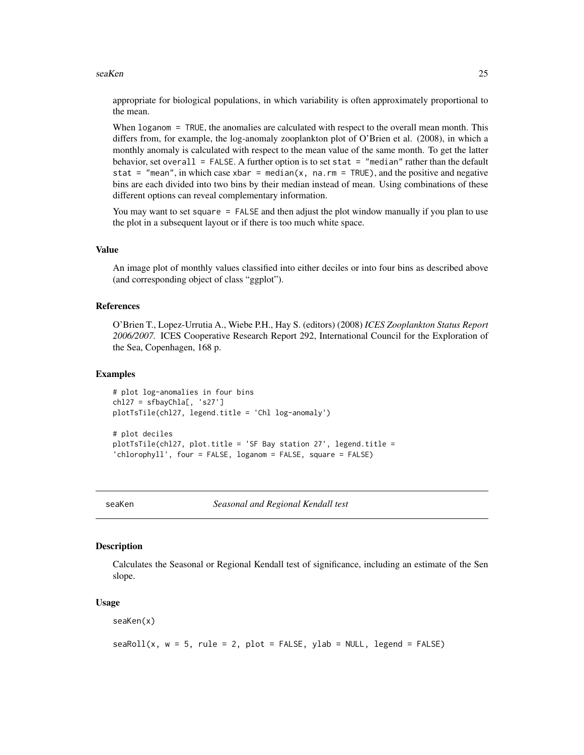#### <span id="page-24-0"></span>seaKen 25

appropriate for biological populations, in which variability is often approximately proportional to the mean.

When loganom = TRUE, the anomalies are calculated with respect to the overall mean month. This differs from, for example, the log-anomaly zooplankton plot of O'Brien et al. (2008), in which a monthly anomaly is calculated with respect to the mean value of the same month. To get the latter behavior, set overall = FALSE. A further option is to set stat = "median" rather than the default stat = "mean", in which case xbar = median(x, na.rm = TRUE), and the positive and negative bins are each divided into two bins by their median instead of mean. Using combinations of these different options can reveal complementary information.

You may want to set square = FALSE and then adjust the plot window manually if you plan to use the plot in a subsequent layout or if there is too much white space.

#### Value

An image plot of monthly values classified into either deciles or into four bins as described above (and corresponding object of class "ggplot").

#### References

O'Brien T., Lopez-Urrutia A., Wiebe P.H., Hay S. (editors) (2008) *ICES Zooplankton Status Report 2006/2007.* ICES Cooperative Research Report 292, International Council for the Exploration of the Sea, Copenhagen, 168 p.

#### Examples

```
# plot log-anomalies in four bins
ch127 = sfbayChla[, 's27']plotTsTile(chl27, legend.title = 'Chl log-anomaly')
# plot deciles
plotTsTile(chl27, plot.title = 'SF Bay station 27', legend.title =
'chlorophyll', four = FALSE, loganom = FALSE, square = FALSE)
```
<span id="page-24-1"></span>seaKen *Seasonal and Regional Kendall test*

#### **Description**

Calculates the Seasonal or Regional Kendall test of significance, including an estimate of the Sen slope.

#### Usage

seaKen(x)

```
seaRoll(x, w = 5, rule = 2, plot = FALSE, ylab = NULL, legend = FALSE)
```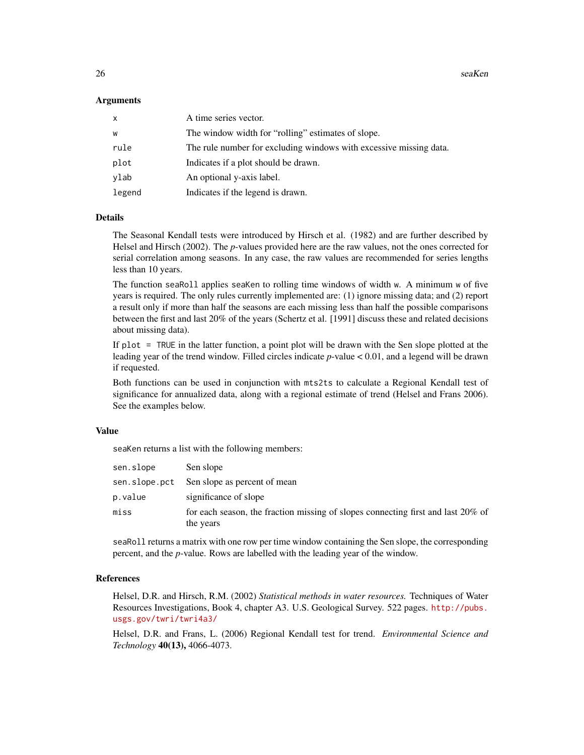$26$  seaKen

#### Arguments

| $\mathsf{x}$ | A time series vector.                                              |
|--------------|--------------------------------------------------------------------|
| W            | The window width for "rolling" estimates of slope.                 |
| rule         | The rule number for excluding windows with excessive missing data. |
| plot         | Indicates if a plot should be drawn.                               |
| ylab         | An optional y-axis label.                                          |
| legend       | Indicates if the legend is drawn.                                  |

# Details

The Seasonal Kendall tests were introduced by Hirsch et al. (1982) and are further described by Helsel and Hirsch (2002). The *p*-values provided here are the raw values, not the ones corrected for serial correlation among seasons. In any case, the raw values are recommended for series lengths less than 10 years.

The function seaRoll applies seaKen to rolling time windows of width w. A minimum w of five years is required. The only rules currently implemented are: (1) ignore missing data; and (2) report a result only if more than half the seasons are each missing less than half the possible comparisons between the first and last 20% of the years (Schertz et al. [1991] discuss these and related decisions about missing data).

If plot = TRUE in the latter function, a point plot will be drawn with the Sen slope plotted at the leading year of the trend window. Filled circles indicate *p*-value < 0.01, and a legend will be drawn if requested.

Both functions can be used in conjunction with mts2ts to calculate a Regional Kendall test of significance for annualized data, along with a regional estimate of trend (Helsel and Frans 2006). See the examples below.

# Value

seaKen returns a list with the following members:

| sen.slope | Sen slope                                                                                     |
|-----------|-----------------------------------------------------------------------------------------------|
|           | sen. slope. pct Sen slope as percent of mean                                                  |
| p.value   | significance of slope                                                                         |
| miss      | for each season, the fraction missing of slopes connecting first and last 20% of<br>the years |

seaRoll returns a matrix with one row per time window containing the Sen slope, the corresponding percent, and the *p-*value. Rows are labelled with the leading year of the window.

#### References

Helsel, D.R. and Hirsch, R.M. (2002) *Statistical methods in water resources.* Techniques of Water Resources Investigations, Book 4, chapter A3. U.S. Geological Survey. 522 pages. [http://pubs.](http://pubs.usgs.gov/twri/twri4a3/) [usgs.gov/twri/twri4a3/](http://pubs.usgs.gov/twri/twri4a3/)

Helsel, D.R. and Frans, L. (2006) Regional Kendall test for trend. *Environmental Science and Technology* 40(13), 4066-4073.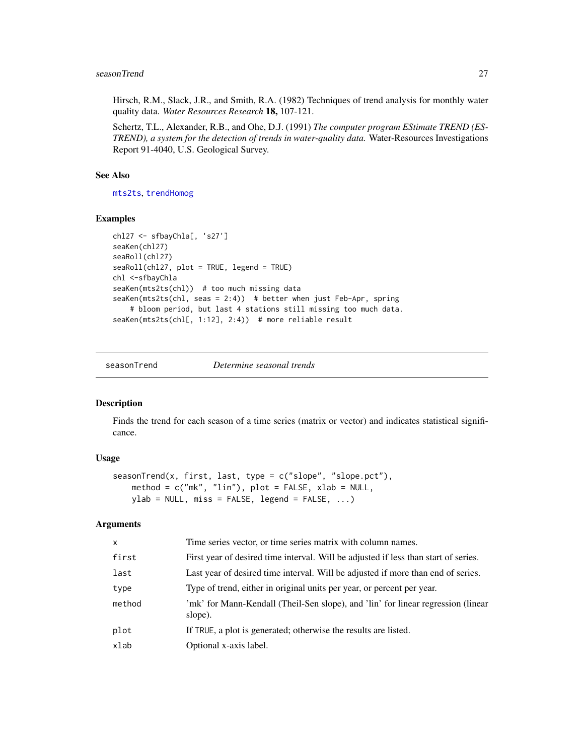#### <span id="page-26-0"></span>seasonTrend 27

Hirsch, R.M., Slack, J.R., and Smith, R.A. (1982) Techniques of trend analysis for monthly water quality data. *Water Resources Research* 18, 107-121.

Schertz, T.L., Alexander, R.B., and Ohe, D.J. (1991) *The computer program EStimate TREND (ES-TREND), a system for the detection of trends in water-quality data.* Water-Resources Investigations Report 91-4040, U.S. Geological Survey.

#### See Also

[mts2ts](#page-14-1), [trendHomog](#page-29-1)

#### Examples

```
chl27 <- sfbayChla[, 's27']
seaKen(chl27)
seaRoll(chl27)
seaRoll(chl27, plot = TRUE, legend = TRUE)
chl <-sfbayChla
seaKen(mts2ts(chl)) # too much missing data
seaKen(mts2ts(chl, seas = 2:4)) # better when just Feb-Apr, spring
    # bloom period, but last 4 stations still missing too much data.
seaKen(mts2ts(chl[, 1:12], 2:4)) # more reliable result
```
<span id="page-26-1"></span>seasonTrend *Determine seasonal trends*

# Description

Finds the trend for each season of a time series (matrix or vector) and indicates statistical significance.

#### Usage

```
seasonTrend(x, first, last, type = c("slope", "slope.pct"),
   method = c("mk", "lin"), plot = FALSE, xlab = NULL,
   ylab = NULL, miss = FALSE, legend = FALSE, ...)
```
#### Arguments

| $\times$ | Time series vector, or time series matrix with column names.                                |
|----------|---------------------------------------------------------------------------------------------|
| first    | First year of desired time interval. Will be adjusted if less than start of series.         |
| last     | Last year of desired time interval. Will be adjusted if more than end of series.            |
| type     | Type of trend, either in original units per year, or percent per year.                      |
| method   | 'mk' for Mann-Kendall (Theil-Sen slope), and 'lin' for linear regression (linear<br>slope). |
| plot     | If TRUE, a plot is generated; otherwise the results are listed.                             |
| xlab     | Optional x-axis label.                                                                      |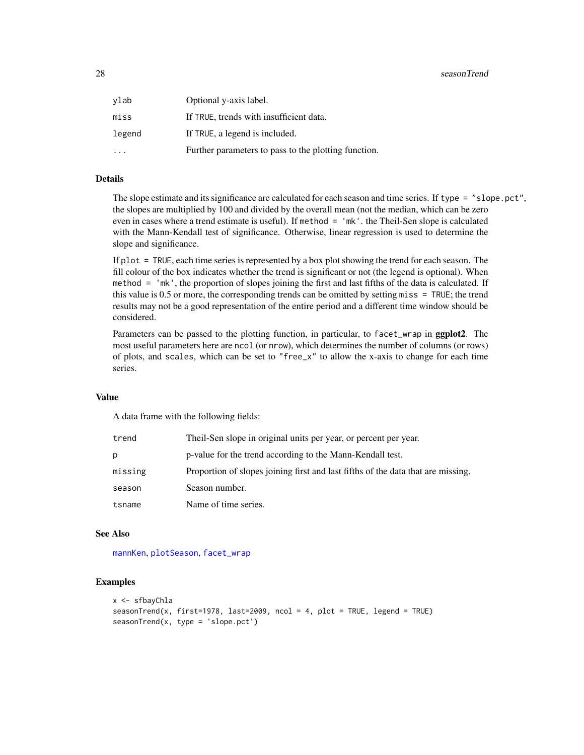#### <span id="page-27-0"></span>28 seasonTrend and the control of the control of the control of the control of the control of the control of the control of the control of the control of the control of the control of the control of the control of the cont

| vlab                    | Optional y-axis label.                               |
|-------------------------|------------------------------------------------------|
| miss                    | If TRUE, trends with insufficient data.              |
| legend                  | If TRUE, a legend is included.                       |
| $\cdot$ $\cdot$ $\cdot$ | Further parameters to pass to the plotting function. |

# Details

The slope estimate and its significance are calculated for each season and time series. If type = "slope.pct", the slopes are multiplied by 100 and divided by the overall mean (not the median, which can be zero even in cases where a trend estimate is useful). If method = 'mk'. the Theil-Sen slope is calculated with the Mann-Kendall test of significance. Otherwise, linear regression is used to determine the slope and significance.

If plot = TRUE, each time series is represented by a box plot showing the trend for each season. The fill colour of the box indicates whether the trend is significant or not (the legend is optional). When method = 'mk', the proportion of slopes joining the first and last fifths of the data is calculated. If this value is 0.5 or more, the corresponding trends can be omitted by setting miss = TRUE; the trend results may not be a good representation of the entire period and a different time window should be considered.

Parameters can be passed to the plotting function, in particular, to facet\_wrap in **ggplot2**. The most useful parameters here are ncol (or nrow), which determines the number of columns (or rows) of plots, and scales, which can be set to "free\_ $x$ " to allow the x-axis to change for each time series.

### Value

A data frame with the following fields:

| trend   | Theil-Sen slope in original units per year, or percent per year.                 |
|---------|----------------------------------------------------------------------------------|
| p       | p-value for the trend according to the Mann-Kendall test.                        |
| missing | Proportion of slopes joining first and last fifths of the data that are missing. |
| season  | Season number.                                                                   |
| tsname  | Name of time series.                                                             |

#### See Also

[mannKen](#page-13-1), [plotSeason](#page-20-1), [facet\\_wrap](#page-0-0)

# Examples

```
x <- sfbayChla
seasonTrend(x, first=1978, last=2009, ncol = 4, plot = TRUE, legend = TRUE)
seasonTrend(x, type = 'slope.pct')
```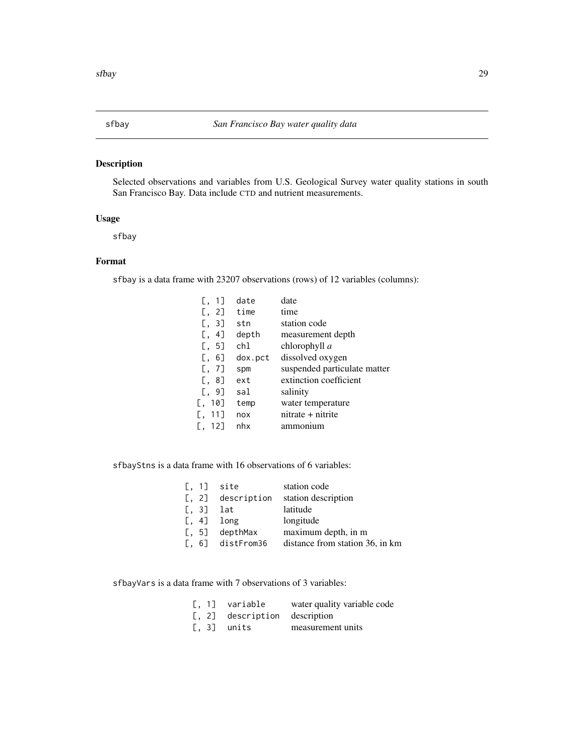# <span id="page-28-0"></span>Description

Selected observations and variables from U.S. Geological Survey water quality stations in south San Francisco Bay. Data include CTD and nutrient measurements.

#### Usage

sfbay

# Format

sfbay is a data frame with 23207 observations (rows) of 12 variables (columns):

| $\left[ \begin{matrix} 0 & 1 \end{matrix} \right]$ | date    | date                         |
|----------------------------------------------------|---------|------------------------------|
| $\left[ \begin{array}{cc} 2 \end{array} \right]$   | time    | time                         |
| $\left[ \begin{matrix} 1 & 3 \end{matrix} \right]$ | stn     | station code                 |
| $[\, , \, 4]$                                      | depth   | measurement depth            |
| [, 5]                                              | ch1     | chlorophyll a                |
| $[\, , \, 6]$                                      | dox.pct | dissolved oxygen             |
| [, 7]                                              | spm     | suspended particulate matter |
| [0, 8]                                             | ext     | extinction coefficient       |
| $[\, , \, 9]$                                      | sal     | salinity                     |
| 10]<br>Ε.                                          | temp    | water temperature            |
| 11]<br>Γ.                                          | nox     | nitrate + nitrite            |
| - 12]                                              | nhx     | ammonium                     |

sfbayStns is a data frame with 16 observations of 6 variables:

|              | $[, 1]$ site                           | station code                    |
|--------------|----------------------------------------|---------------------------------|
|              | [, 2] description                      | station description             |
| $[ , 3]$ lat |                                        | latitude                        |
|              | $\left[ .\right. 4\left. \right]$ long | longitude                       |
|              | $\lceil$ , 5] depthMax                 | maximum depth, in m             |
|              | $[$ , 6] distFrom36                    | distance from station 36, in km |

sfbayVars is a data frame with 7 observations of 3 variables:

| [, 1] variable                | water quality variable code |
|-------------------------------|-----------------------------|
| [, 2] description description |                             |
| $[ , 3]$ units                | measurement units           |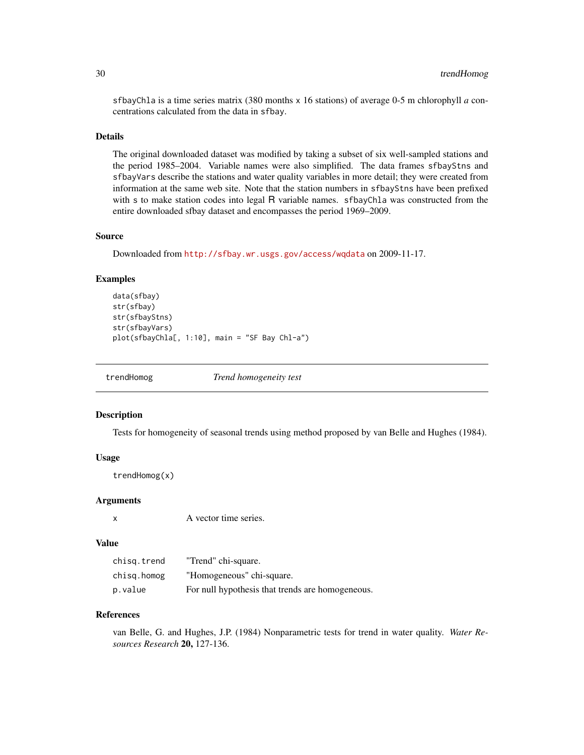sfbayChla is a time series matrix (380 months x 16 stations) of average 0-5 m chlorophyll *a* concentrations calculated from the data in sfbay.

#### Details

The original downloaded dataset was modified by taking a subset of six well-sampled stations and the period 1985–2004. Variable names were also simplified. The data frames sfbayStns and sfbayVars describe the stations and water quality variables in more detail; they were created from information at the same web site. Note that the station numbers in sfbayStns have been prefixed with s to make station codes into legal R variable names. sfbayChla was constructed from the entire downloaded sfbay dataset and encompasses the period 1969–2009.

#### Source

Downloaded from <http://sfbay.wr.usgs.gov/access/wqdata> on 2009-11-17.

#### Examples

```
data(sfbay)
str(sfbay)
str(sfbayStns)
str(sfbayVars)
plot(sfbayChla[, 1:10], main = "SF Bay Chl-a")
```
<span id="page-29-1"></span>

trendHomog *Trend homogeneity test*

#### Description

Tests for homogeneity of seasonal trends using method proposed by van Belle and Hughes (1984).

#### Usage

trendHomog(x)

#### Arguments

x A vector time series.

#### Value

| chisg.trend | "Trend" chi-square.                              |
|-------------|--------------------------------------------------|
| chisg.homog | "Homogeneous" chi-square.                        |
| p.value     | For null hypothesis that trends are homogeneous. |

# References

van Belle, G. and Hughes, J.P. (1984) Nonparametric tests for trend in water quality. *Water Resources Research* 20, 127-136.

<span id="page-29-0"></span>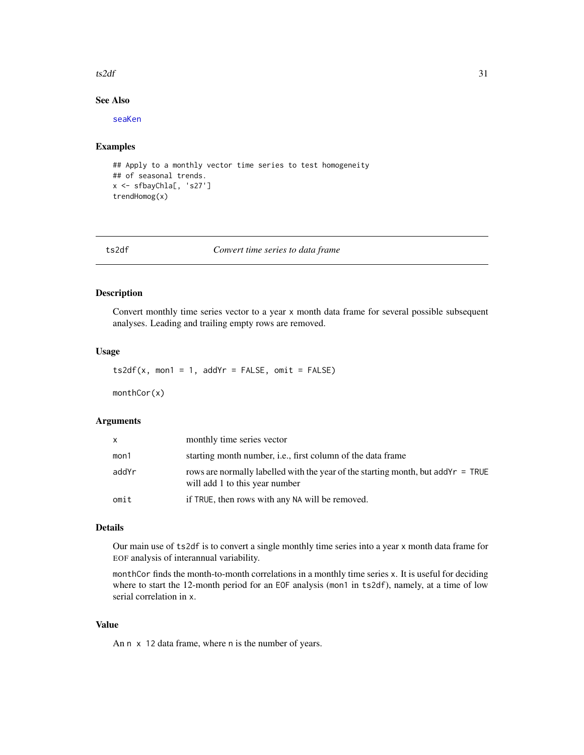#### <span id="page-30-0"></span> $ts2df$  31

# See Also

[seaKen](#page-24-1)

# Examples

```
## Apply to a monthly vector time series to test homogeneity
## of seasonal trends.
x <- sfbayChla[, 's27']
trendHomog(x)
```
<span id="page-30-2"></span>ts2df *Convert time series to data frame*

# <span id="page-30-1"></span>Description

Convert monthly time series vector to a year x month data frame for several possible subsequent analyses. Leading and trailing empty rows are removed.

# Usage

 $ts2df(x, mon1 = 1, addYr = FALSE, omit = FALSE)$ 

monthCor(x)

# Arguments

| X     | monthly time series vector                                                                                            |
|-------|-----------------------------------------------------------------------------------------------------------------------|
| mon1  | starting month number, <i>i.e.</i> , first column of the data frame                                                   |
| addYr | rows are normally labelled with the year of the starting month, but add $Yr = TRUE$<br>will add 1 to this year number |
| omit  | if TRUE, then rows with any NA will be removed.                                                                       |

# Details

Our main use of ts2df is to convert a single monthly time series into a year x month data frame for EOF analysis of interannual variability.

monthCor finds the month-to-month correlations in a monthly time series x. It is useful for deciding where to start the 12-month period for an EOF analysis (mon1 in ts2df), namely, at a time of low serial correlation in x.

# Value

An n x 12 data frame, where n is the number of years.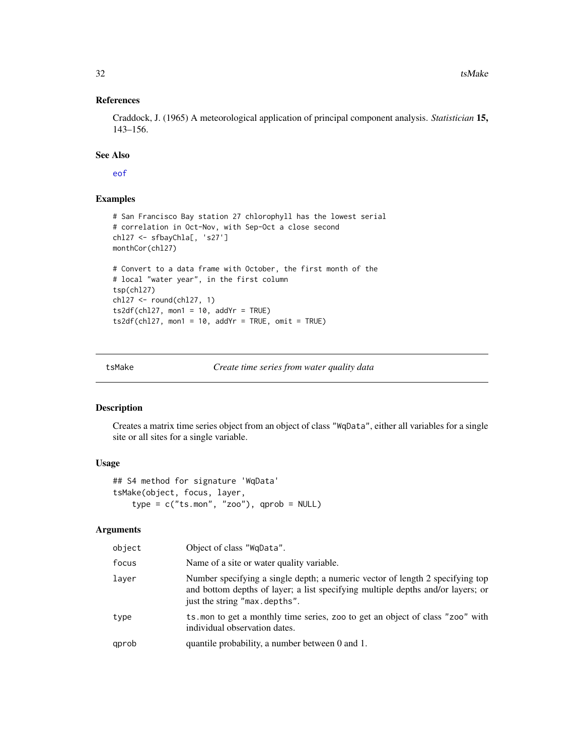# References

Craddock, J. (1965) A meteorological application of principal component analysis. *Statistician* 15, 143–156.

#### See Also

[eof](#page-7-1)

# Examples

```
# San Francisco Bay station 27 chlorophyll has the lowest serial
# correlation in Oct-Nov, with Sep-Oct a close second
chl27 <- sfbayChla[, 's27']
monthCor(chl27)
# Convert to a data frame with October, the first month of the
# local "water year", in the first column
tsp(chl27)
chl27 <- round(chl27, 1)
ts2df(chl27, mon1 = 10, addYr = TRUE)
ts2df(chl27, mon1 = 10, addYr = TRUE, omit = TRUE)
```
<span id="page-31-1"></span>

tsMake *Create time series from water quality data*

# Description

Creates a matrix time series object from an object of class "WqData", either all variables for a single site or all sites for a single variable.

# Usage

```
## S4 method for signature 'WqData'
tsMake(object, focus, layer,
    type = c("ts.mon", "zoo"), qprob = NULL)
```
# Arguments

| object | Object of class "WgData".                                                                                                                                                                         |
|--------|---------------------------------------------------------------------------------------------------------------------------------------------------------------------------------------------------|
| focus  | Name of a site or water quality variable.                                                                                                                                                         |
| laver  | Number specifying a single depth; a numeric vector of length 2 specifying top<br>and bottom depths of layer; a list specifying multiple depths and/or layers; or<br>just the string "max.depths". |
| type   | ts mon to get a monthly time series, zoo to get an object of class "zoo" with<br>individual observation dates.                                                                                    |
| qprob  | quantile probability, a number between 0 and 1.                                                                                                                                                   |

<span id="page-31-0"></span>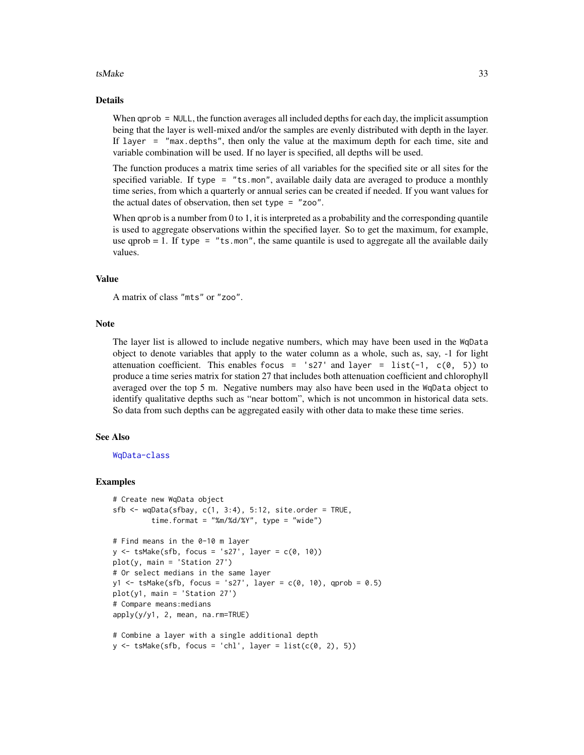#### $t_s$  tsMake 33

#### Details

When qprob = NULL, the function averages all included depths for each day, the implicit assumption being that the layer is well-mixed and/or the samples are evenly distributed with depth in the layer. If layer = "max.depths", then only the value at the maximum depth for each time, site and variable combination will be used. If no layer is specified, all depths will be used.

The function produces a matrix time series of all variables for the specified site or all sites for the specified variable. If type = "ts.mon", available daily data are averaged to produce a monthly time series, from which a quarterly or annual series can be created if needed. If you want values for the actual dates of observation, then set type = "zoo".

When qprob is a number from 0 to 1, it is interpreted as a probability and the corresponding quantile is used to aggregate observations within the specified layer. So to get the maximum, for example, use qprob  $= 1$ . If type  $=$  "ts.mon", the same quantile is used to aggregate all the available daily values.

#### Value

A matrix of class "mts" or "zoo".

#### Note

The layer list is allowed to include negative numbers, which may have been used in the WqData object to denote variables that apply to the water column as a whole, such as, say, -1 for light attenuation coefficient. This enables focus = 's27' and layer = list(-1,  $c(\theta, 5)$ ) to produce a time series matrix for station 27 that includes both attenuation coefficient and chlorophyll averaged over the top 5 m. Negative numbers may also have been used in the WqData object to identify qualitative depths such as "near bottom", which is not uncommon in historical data sets. So data from such depths can be aggregated easily with other data to make these time series.

#### See Also

#### [WqData-class](#page-36-1)

#### Examples

```
# Create new WqData object
sfb \leftarrow wqData(sfbay, c(1, 3:4), 5:12, site. order = TRUE,time.format = "%m/%d/%Y", type = "wide")
# Find means in the 0-10 m layer
y \le -tsMake(sfb, focus = 's27', layer = c(0, 10))
plot(y, main = 'Station 27')
# Or select medians in the same layer
y1 <- tsMake(sfb, focus = 's27', layer = c(\theta, 1\theta), qprob = \theta.5)
plot(y1, main = 'Station 27')
# Compare means:medians
apply(y/y1, 2, mean, na.rm=TRUE)
# Combine a layer with a single additional depth
y \le -tsMake(sfb, focus = 'chl', layer = list(c(0, 2), 5))
```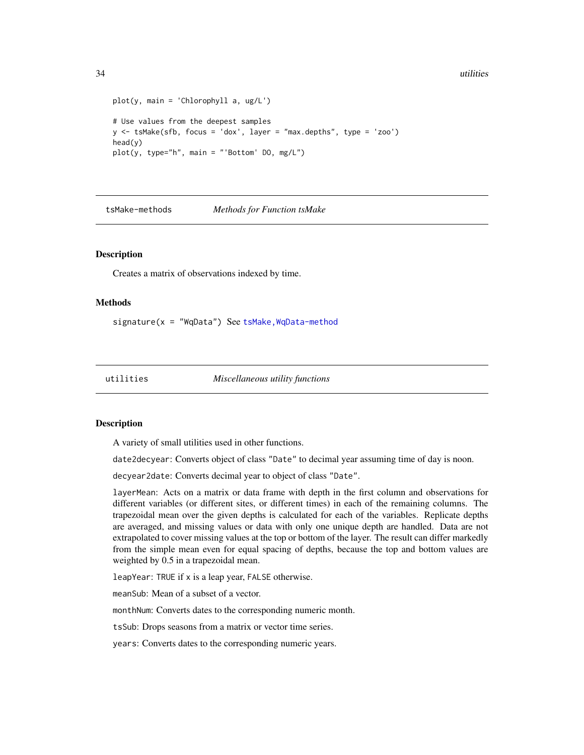#### <span id="page-33-0"></span>34 utilities

```
plot(y, main = 'Chlorophyll a, ug/L')
# Use values from the deepest samples
y \le -tsMake(sfb, focus = 'dox', layer = "max.depths", type = 'zoo')
head(y)
plot(y, type="h", main = "'Bottom' DO, mg/L")
```
tsMake-methods *Methods for Function tsMake*

#### **Description**

Creates a matrix of observations indexed by time.

#### **Methods**

signature( $x =$  "WqData") See tsMake, WqData-method

utilities *Miscellaneous utility functions*

# <span id="page-33-1"></span>Description

A variety of small utilities used in other functions.

date2decyear: Converts object of class "Date" to decimal year assuming time of day is noon.

decyear2date: Converts decimal year to object of class "Date".

layerMean: Acts on a matrix or data frame with depth in the first column and observations for different variables (or different sites, or different times) in each of the remaining columns. The trapezoidal mean over the given depths is calculated for each of the variables. Replicate depths are averaged, and missing values or data with only one unique depth are handled. Data are not extrapolated to cover missing values at the top or bottom of the layer. The result can differ markedly from the simple mean even for equal spacing of depths, because the top and bottom values are weighted by 0.5 in a trapezoidal mean.

leapYear: TRUE if x is a leap year, FALSE otherwise.

meanSub: Mean of a subset of a vector.

monthNum: Converts dates to the corresponding numeric month.

tsSub: Drops seasons from a matrix or vector time series.

years: Converts dates to the corresponding numeric years.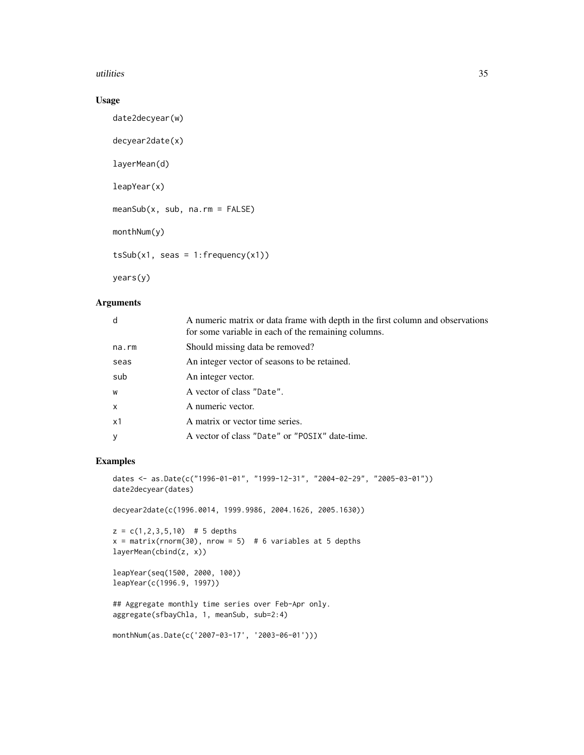#### utilities 35

# Usage

```
date2decyear(w)
decyear2date(x)
layerMean(d)
leapYear(x)
meanSub(x, sub, na.rm = FALSE)
monthNum(y)
tsSub(x1, seas = 1:frequency(x1))
```
# years(y)

# Arguments

| d            | A numeric matrix or data frame with depth in the first column and observations<br>for some variable in each of the remaining columns. |
|--------------|---------------------------------------------------------------------------------------------------------------------------------------|
| $na$ . $rm$  | Should missing data be removed?                                                                                                       |
| seas         | An integer vector of seasons to be retained.                                                                                          |
| sub          | An integer vector.                                                                                                                    |
| W            | A vector of class "Date".                                                                                                             |
| $\mathsf{x}$ | A numeric vector.                                                                                                                     |
| x1           | A matrix or vector time series.                                                                                                       |
| $\mathbf{y}$ | A vector of class "Date" or "POSIX" date-time.                                                                                        |

# Examples

```
dates <- as.Date(c("1996-01-01", "1999-12-31", "2004-02-29", "2005-03-01"))
date2decyear(dates)
```
decyear2date(c(1996.0014, 1999.9986, 2004.1626, 2005.1630))

```
z = c(1, 2, 3, 5, 10) # 5 depths
x = matrix(rnorm(30), nrow = 5) # 6 variables at 5 depths
layerMean(cbind(z, x))
```

```
leapYear(seq(1500, 2000, 100))
leapYear(c(1996.9, 1997))
```

```
## Aggregate monthly time series over Feb-Apr only.
aggregate(sfbayChla, 1, meanSub, sub=2:4)
```

```
monthNum(as.Date(c('2007-03-17', '2003-06-01')))
```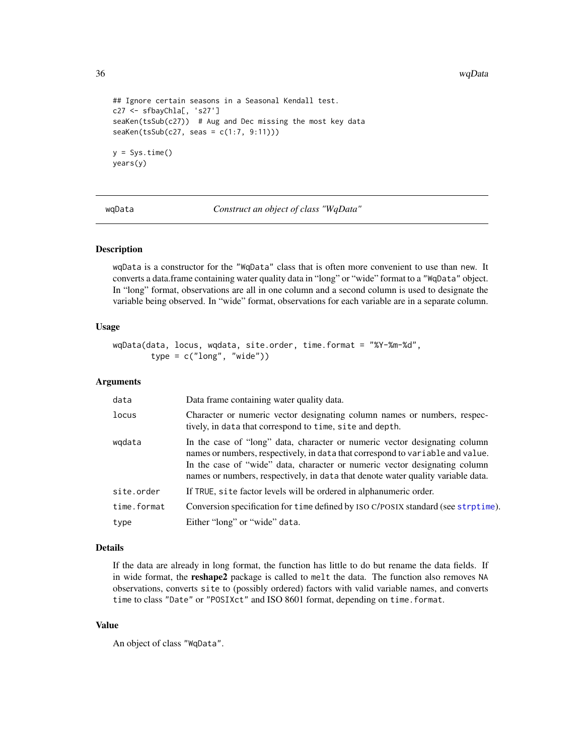36 wqData

```
## Ignore certain seasons in a Seasonal Kendall test.
c27 <- sfbayChla[, 's27']
seaKen(tsSub(c27)) # Aug and Dec missing the most key data
seaKen(tsSub(c27, seas = c(1:7, 9:11)))y = Sys.time()years(y)
```
<span id="page-35-1"></span>wqData *Construct an object of class "WqData"*

#### Description

wqData is a constructor for the "WqData" class that is often more convenient to use than new. It converts a data.frame containing water quality data in "long" or "wide" format to a "WqData" object. In "long" format, observations are all in one column and a second column is used to designate the variable being observed. In "wide" format, observations for each variable are in a separate column.

#### Usage

```
wqData(data, locus, wqdata, site.order, time.format = "%Y-%m-%d",
       type = c("long", "wide")
```
#### Arguments

| data        | Data frame containing water quality data.                                                                                                                                                                                                                                                                                      |  |
|-------------|--------------------------------------------------------------------------------------------------------------------------------------------------------------------------------------------------------------------------------------------------------------------------------------------------------------------------------|--|
| locus       | Character or numeric vector designating column names or numbers, respec-<br>tively, in data that correspond to time, site and depth.                                                                                                                                                                                           |  |
| wgdata      | In the case of "long" data, character or numeric vector designating column<br>names or numbers, respectively, in data that correspond to variable and value.<br>In the case of "wide" data, character or numeric vector designating column<br>names or numbers, respectively, in data that denote water quality variable data. |  |
| site.order  | If TRUE, site factor levels will be ordered in alphanumeric order.                                                                                                                                                                                                                                                             |  |
| time.format | Conversion specification for time defined by ISO C/POSIX standard (see strptime).                                                                                                                                                                                                                                              |  |
| type        | Either "long" or "wide" data.                                                                                                                                                                                                                                                                                                  |  |

#### Details

If the data are already in long format, the function has little to do but rename the data fields. If in wide format, the reshape2 package is called to melt the data. The function also removes NA observations, converts site to (possibly ordered) factors with valid variable names, and converts time to class "Date" or "POSIXct" and ISO 8601 format, depending on time.format.

# Value

An object of class "WqData".

<span id="page-35-0"></span>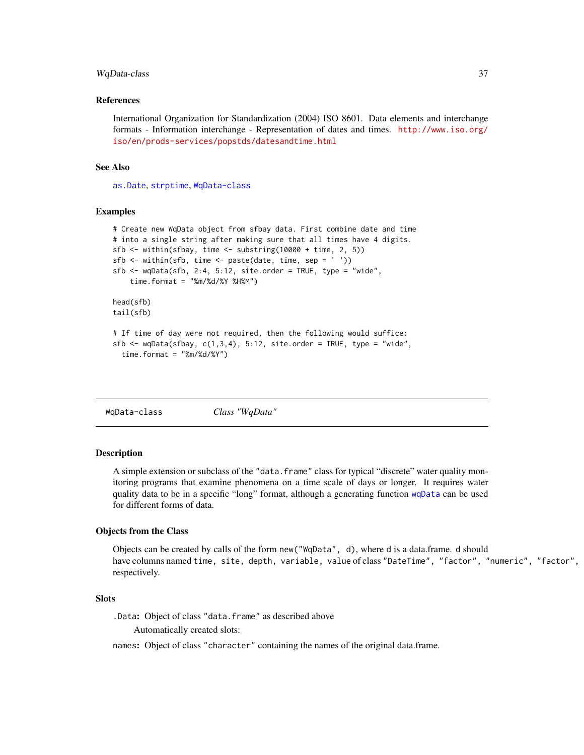#### <span id="page-36-0"></span>WqData-class 37

#### References

International Organization for Standardization (2004) ISO 8601. Data elements and interchange formats - Information interchange - Representation of dates and times. [http://www.iso.org/](http://www.iso.org/iso/en/prods-services/popstds/datesandtime.html) [iso/en/prods-services/popstds/datesandtime.html](http://www.iso.org/iso/en/prods-services/popstds/datesandtime.html)

# See Also

[as.Date](#page-0-0), [strptime](#page-0-0), [WqData-class](#page-36-1)

#### Examples

```
# Create new WqData object from sfbay data. First combine date and time
# into a single string after making sure that all times have 4 digits.
sfb <- within(sfbay, time <- substring(10000 + time, 2, 5))
sfb \leftarrow within(sfb, time \leftarrow paste(data, time, sep = ''))sfb \leq wqData(sfb, 2:4, 5:12, site.order = TRUE, type = "wide",
    time.format = "%m/%d/%Y %H%M")
head(sfb)
tail(sfb)
# If time of day were not required, then the following would suffice:
sfb \leq wqData(sfbay, c(1,3,4), 5:12, site.order = TRUE, type = "wide",
  time.format = "%m/%d/%Y")
```
<span id="page-36-1"></span>WqData-class *Class "WqData"*

#### **Description**

A simple extension or subclass of the "data. frame" class for typical "discrete" water quality monitoring programs that examine phenomena on a time scale of days or longer. It requires water quality data to be in a specific "long" format, although a generating function [wqData](#page-35-1) can be used for different forms of data.

#### Objects from the Class

Objects can be created by calls of the form new("WqData", d), where d is a data.frame. d should have columns named time, site, depth, variable, value of class "DateTime", "factor", "numeric", "factor", "numeric", respectively.

#### **Slots**

.Data: Object of class "data.frame" as described above Automatically created slots:

names: Object of class "character" containing the names of the original data.frame.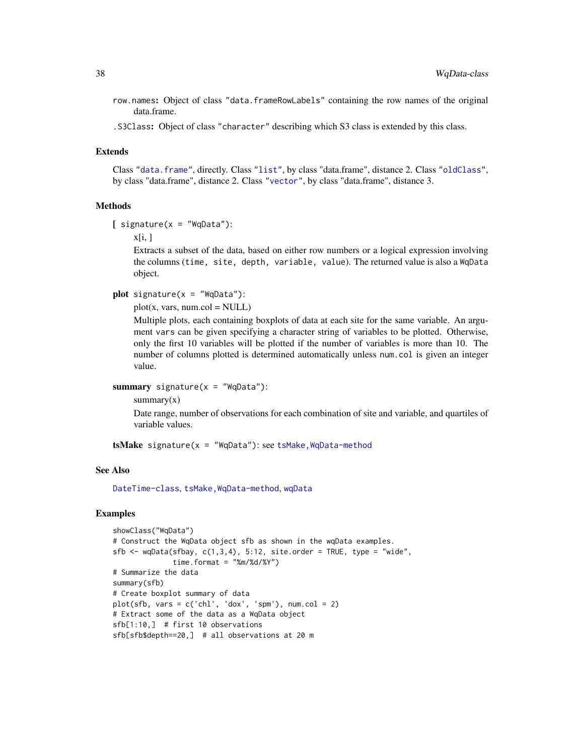- <span id="page-37-0"></span>row.names: Object of class "data.frameRowLabels" containing the row names of the original data.frame.
- .S3Class: Object of class "character" describing which S3 class is extended by this class.

# Extends

Class ["data.frame"](#page-0-0), directly. Class ["list"](#page-0-0), by class "data.frame", distance 2. Class ["oldClass"](#page-0-0), by class "data.frame", distance 2. Class ["vector"](#page-0-0), by class "data.frame", distance 3.

#### Methods

```
[ signature(x = "WqData"):
```
 $x[i, ]$ 

Extracts a subset of the data, based on either row numbers or a logical expression involving the columns (time, site, depth, variable, value). The returned value is also a WqData object.

```
plot signature(x = "WqData"):
```
 $plot(x, vars, num,col = NULL)$ 

Multiple plots, each containing boxplots of data at each site for the same variable. An argument vars can be given specifying a character string of variables to be plotted. Otherwise, only the first 10 variables will be plotted if the number of variables is more than 10. The number of columns plotted is determined automatically unless num.col is given an integer value.

```
summary signature(x = "WqData"):
```
 $summary(x)$ 

Date range, number of observations for each combination of site and variable, and quartiles of variable values.

 $tsMake signature(x = "WqData")$ : see tsMake, WqData-method

#### See Also

[DateTime-class](#page-4-2), [tsMake,WqData-method](#page-0-0), [wqData](#page-35-1)

#### Examples

```
showClass("WqData")
# Construct the WqData object sfb as shown in the wqData examples.
sfb \leq wqData(sfbay, c(1,3,4), 5:12, site.order = TRUE, type = "wide",
             time.format = "%m%d%Y")# Summarize the data
summary(sfb)
# Create boxplot summary of data
plot(sfb, vars = c('chl', 'dox', 'spm'), num,col = 2)# Extract some of the data as a WqData object
sfb[1:10,] # first 10 observations
sfb[sfb$depth==20,] # all observations at 20 m
```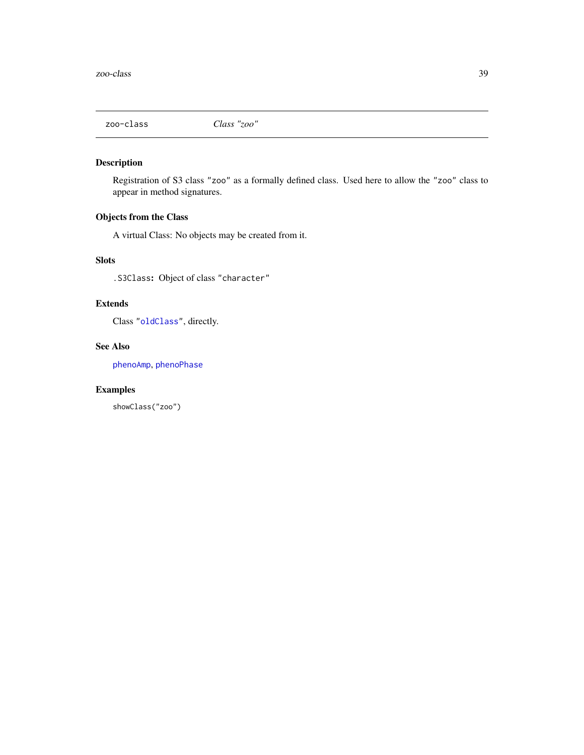<span id="page-38-0"></span>

# Description

Registration of S3 class "zoo" as a formally defined class. Used here to allow the "zoo" class to appear in method signatures.

# Objects from the Class

A virtual Class: No objects may be created from it.

# Slots

.S3Class: Object of class "character"

# Extends

Class ["oldClass"](#page-0-0), directly.

# See Also

[phenoAmp](#page-16-1), [phenoPhase](#page-18-1)

# Examples

showClass("zoo")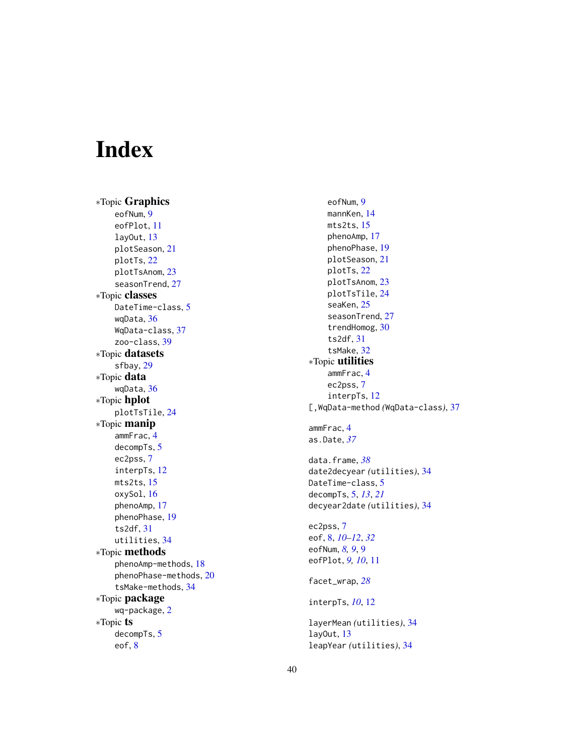# <span id="page-39-0"></span>Index

∗Topic Graphics eofNum , [9](#page-8-0) eofPlot , [11](#page-10-0) layOut , [13](#page-12-0) plotSeason , [21](#page-20-0) plotTs , [22](#page-21-0) plotTsAnom , [23](#page-22-0) seasonTrend, [27](#page-26-0) ∗Topic classes DateTime-class, [5](#page-4-0) wqData , [36](#page-35-0) WqData-class , [37](#page-36-0) zoo-class , [39](#page-38-0) ∗Topic datasets sfbay , [29](#page-28-0) ∗Topic data wqData , [36](#page-35-0) ∗Topic hplot plotTsTile , [24](#page-23-0) ∗Topic manip ammFrac , [4](#page-3-0) decompTs , [5](#page-4-0) ec2pss , [7](#page-6-0) interpTs , [12](#page-11-0) mts2ts , [15](#page-14-0) oxySol , [16](#page-15-0) phenoAmp , [17](#page-16-0) phenoPhase , [19](#page-18-0) ts2df , [31](#page-30-0) utilities , [34](#page-33-0) ∗Topic methods phenoAmp-methods , [18](#page-17-0) phenoPhase-methods , [20](#page-19-0) tsMake-methods , [34](#page-33-0) ∗Topic package wq-package , [2](#page-1-0) ∗Topic ts decompTs , [5](#page-4-0) eof , [8](#page-7-0)

eofNum , [9](#page-8-0) mannKen , [14](#page-13-0) mts2ts , [15](#page-14-0) phenoAmp , [17](#page-16-0) phenoPhase , [19](#page-18-0) plotSeason , [21](#page-20-0) plotTs , [22](#page-21-0) plotTsAnom , [23](#page-22-0) plotTsTile , [24](#page-23-0) seaKen , [25](#page-24-0) seasonTrend, [27](#page-26-0) trendHomog , [30](#page-29-0) ts2df , [31](#page-30-0) tsMake , [32](#page-31-0) ∗Topic utilities ammFrac , [4](#page-3-0) ec2pss , [7](#page-6-0) interpTs , [12](#page-11-0) [,WqData-method *(*WqData-class *)* , [37](#page-36-0) ammFrac , [4](#page-3-0) as.Date , *[37](#page-36-0)* data.frame , *[38](#page-37-0)* date2decyear *(*utilities *)* , [34](#page-33-0) DateTime-class, [5](#page-4-0) decompTs , [5](#page-4-0) , *[13](#page-12-0)* , *[21](#page-20-0)* decyear2date *(*utilities *)* , [34](#page-33-0) ec2pss , [7](#page-6-0) eof , [8](#page-7-0) , *[10](#page-9-0)[–12](#page-11-0)* , *[32](#page-31-0)* eofNum, *[8](#page-7-0)*, *[9](#page-8-0)*, 9 eofPlot, [9](#page-8-0), [10](#page-9-0), [11](#page-10-0) facet\_wrap , *[28](#page-27-0)* interpTs , *[10](#page-9-0)* , [12](#page-11-0) layerMean *(*utilities *)* , [34](#page-33-0) layOut , [13](#page-12-0) leapYear *(*utilities *)* , [34](#page-33-0)